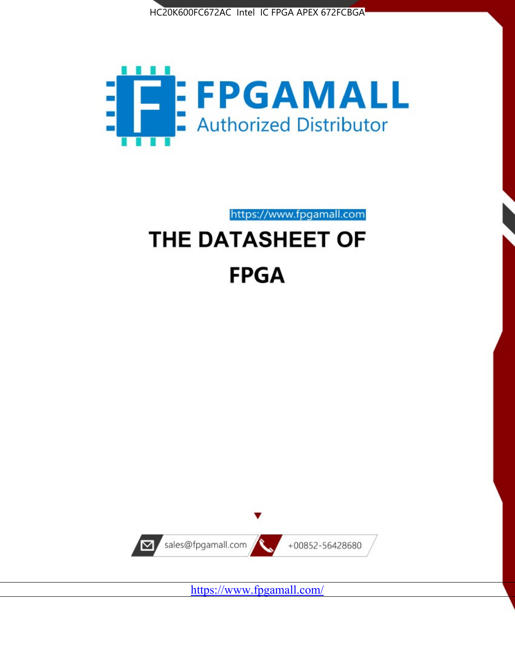



https://www.fpgamall.com

# THE DATASHEET OF **FPGA**



<https://www.fpgamall.com/>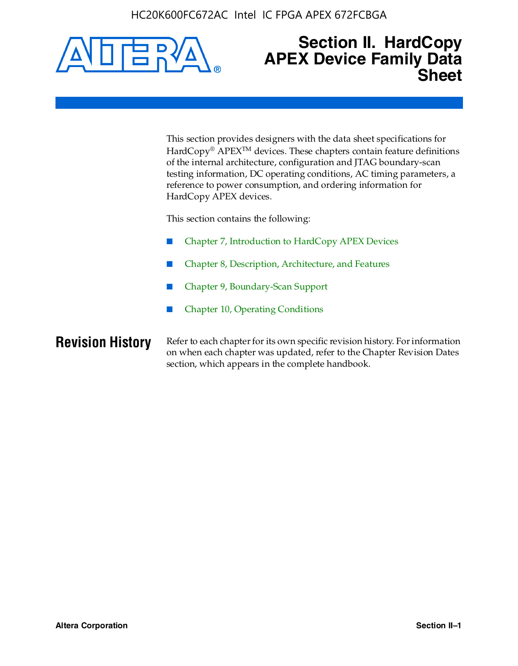

# **Section II. HardCopy APEX Device Family Data Sheet**

This section provides designers with the data sheet specifications for HardCopy<sup>®</sup> APEX<sup>™</sup> devices. These chapters contain feature definitions of the internal architecture, configuration and JTAG boundary-scan testing information, DC operating conditions, AC timing parameters, a reference to power consumption, and ordering information for HardCopy APEX devices.

This section contains the following:

- Chapter 7, Introduction to HardCopy APEX Devices
- Chapter 8, Description, Architecture, and Features
- Chapter 9, Boundary-Scan Support
- Chapter 10, Operating Conditions

**Revision History** Refer to each chapter for its own specific revision history. For information on when each chapter was updated, refer to the Chapter Revision Dates section, which appears in the complete handbook.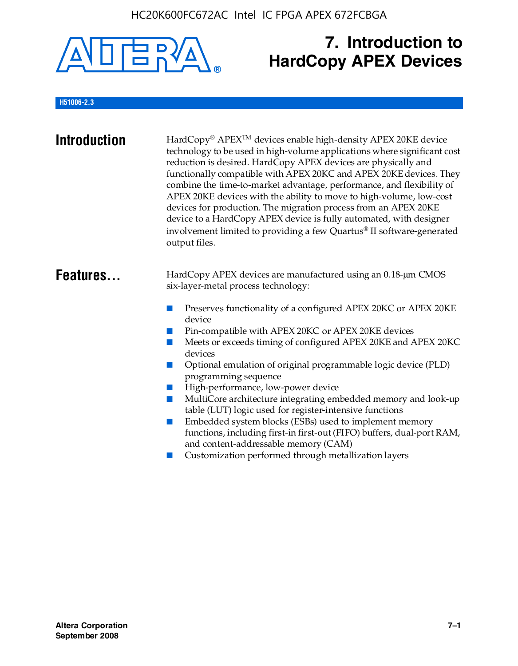

# **7. Introduction to HardCopy APEX Devices**

## **H51006-2.3**

| <b>Introduction</b> | HardCopy® APEX <sup>™</sup> devices enable high-density APEX 20KE device<br>technology to be used in high-volume applications where significant cost<br>reduction is desired. HardCopy APEX devices are physically and<br>functionally compatible with APEX 20KC and APEX 20KE devices. They<br>combine the time-to-market advantage, performance, and flexibility of<br>APEX 20KE devices with the ability to move to high-volume, low-cost<br>devices for production. The migration process from an APEX 20KE<br>device to a HardCopy APEX device is fully automated, with designer<br>involvement limited to providing a few Quartus® II software-generated<br>output files.                                                                                                                                    |
|---------------------|--------------------------------------------------------------------------------------------------------------------------------------------------------------------------------------------------------------------------------------------------------------------------------------------------------------------------------------------------------------------------------------------------------------------------------------------------------------------------------------------------------------------------------------------------------------------------------------------------------------------------------------------------------------------------------------------------------------------------------------------------------------------------------------------------------------------|
| Features            | HardCopy APEX devices are manufactured using an 0.18-um CMOS<br>six-layer-metal process technology:<br>Preserves functionality of a configured APEX 20KC or APEX 20KE<br>device<br>Pin-compatible with APEX 20KC or APEX 20KE devices<br>Meets or exceeds timing of configured APEX 20KE and APEX 20KC<br>devices<br>Optional emulation of original programmable logic device (PLD)<br>programming sequence<br>High-performance, low-power device<br>MultiCore architecture integrating embedded memory and look-up<br>table (LUT) logic used for register-intensive functions<br>Embedded system blocks (ESBs) used to implement memory<br>functions, including first-in first-out (FIFO) buffers, dual-port RAM,<br>and content-addressable memory (CAM)<br>Customization performed through metallization layers |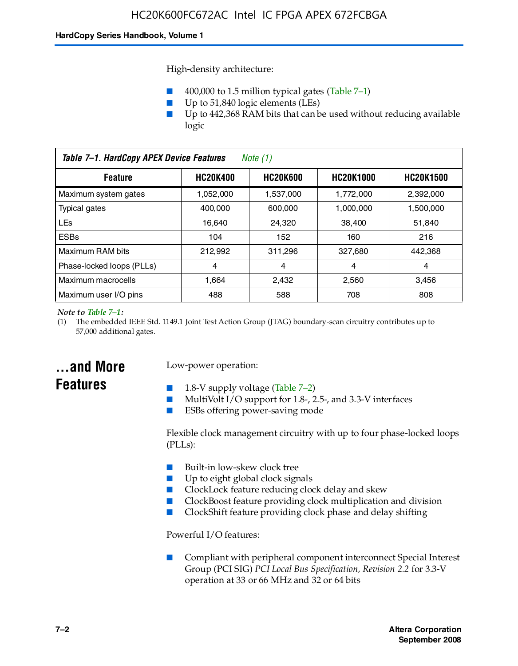High-density architecture:

- 400,000 to 1.5 million typical gates (Table 7–1)
- Up to 51,840 logic elements (LEs)
- Up to 442,368 RAM bits that can be used without reducing available logic

| Table 7-1. HardCopy APEX Device Features<br>Note (1)                                         |           |           |           |           |
|----------------------------------------------------------------------------------------------|-----------|-----------|-----------|-----------|
| <b>HC20K600</b><br><b>HC20K400</b><br><b>HC20K1000</b><br><b>HC20K1500</b><br><b>Feature</b> |           |           |           |           |
| Maximum system gates                                                                         | 1,052,000 | 1,537,000 | 1,772,000 | 2,392,000 |
| Typical gates                                                                                | 400.000   | 600,000   | 1.000.000 | 1,500,000 |
| <b>LEs</b>                                                                                   | 16.640    | 24.320    | 38.400    | 51,840    |
| <b>ESBs</b>                                                                                  | 104       | 152       | 160       | 216       |
| Maximum RAM bits                                                                             | 212.992   | 311,296   | 327,680   | 442,368   |
| Phase-locked loops (PLLs)                                                                    | 4         | 4         | 4         | 4         |
| Maximum macrocells                                                                           | 1.664     | 2,432     | 2,560     | 3,456     |
| Maximum user I/O pins                                                                        | 488       | 588       | 708       | 808       |

#### *Note to Table 7–1:*

(1) The embedded IEEE Std. 1149.1 Joint Test Action Group (JTAG) boundary-scan circuitry contributes up to 57,000 additional gates.

# **...and More Features**

### Low-power operation:

- 1.8-V supply voltage (Table  $7-2$ )
- MultiVolt I/O support for 1.8-, 2.5-, and 3.3-V interfaces
- ESBs offering power-saving mode

Flexible clock management circuitry with up to four phase-locked loops (PLLs):

- Built-in low-skew clock tree
- Up to eight global clock signals
- ClockLock feature reducing clock delay and skew
- ClockBoost feature providing clock multiplication and division
- ClockShift feature providing clock phase and delay shifting

Powerful I/O features:

■ Compliant with peripheral component interconnect Special Interest Group (PCI SIG) *PCI Local Bus Specification, Revision 2.2* for 3.3-V operation at 33 or 66 MHz and 32 or 64 bits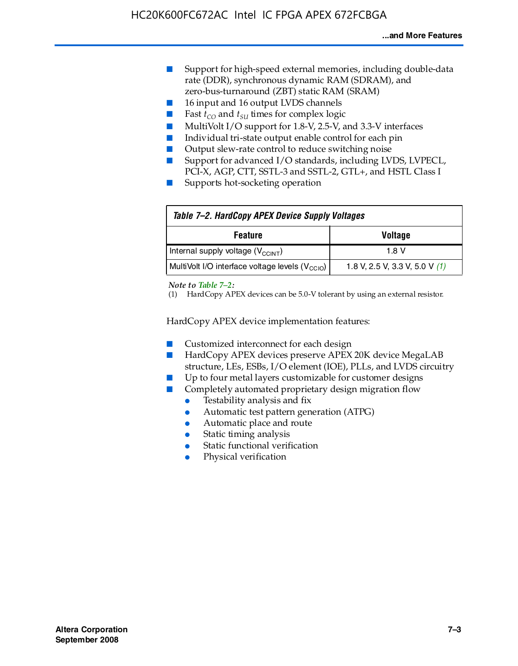- Support for high-speed external memories, including double-data rate (DDR), synchronous dynamic RAM (SDRAM), and zero-bus-turnaround (ZBT) static RAM (SRAM)
- 16 input and 16 output LVDS channels
- Fast  $t_{CO}$  and  $t_{SU}$  times for complex logic
- MultiVolt I/O support for 1.8-V, 2.5-V, and 3.3-V interfaces
- Individual tri-state output enable control for each pin
- Output slew-rate control to reduce switching noise
- Support for advanced I/O standards, including LVDS, LVPECL, PCI-X, AGP, CTT, SSTL-3 and SSTL-2, GTL+, and HSTL Class I
- Supports hot-socketing operation

| Table 7-2. HardCopy APEX Device Supply Voltages             |                                  |
|-------------------------------------------------------------|----------------------------------|
| <b>Voltage</b><br><b>Feature</b>                            |                                  |
| Internal supply voltage (V <sub>CCINT</sub> )               | 1.8 V                            |
| MultiVolt I/O interface voltage levels (V <sub>CCIO</sub> ) | 1.8 V, 2.5 V, 3.3 V, 5.0 V $(1)$ |

#### *Note to Table 7–2:*

(1) HardCopy APEX devices can be 5.0-V tolerant by using an external resistor.

HardCopy APEX device implementation features:

- Customized interconnect for each design
- HardCopy APEX devices preserve APEX 20K device MegaLAB structure, LEs, ESBs, I/O element (IOE), PLLs, and LVDS circuitry
- Up to four metal layers customizable for customer designs
- Completely automated proprietary design migration flow
	- Testability analysis and fix
	- Automatic test pattern generation (ATPG)
	- Automatic place and route
	- Static timing analysis
	- Static functional verification
	- Physical verification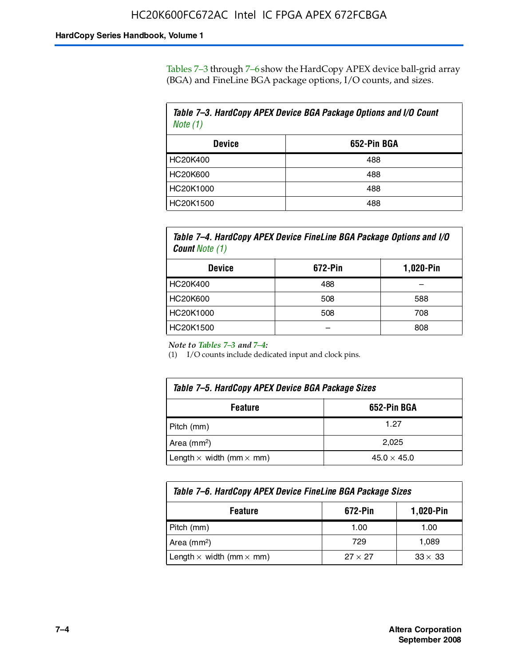Tables 7–3 through 7–6 show the HardCopy APEX device ball-grid array (BGA) and FineLine BGA package options, I/O counts, and sizes.

| Table 7–3. HardCopy APEX Device BGA Package Options and I/O Count<br>Note (1) |             |  |
|-------------------------------------------------------------------------------|-------------|--|
| <b>Device</b>                                                                 | 652-Pin BGA |  |
| HC20K400                                                                      | 488         |  |
| HC20K600                                                                      | 488         |  |
| HC20K1000                                                                     | 488         |  |
| HC20K1500                                                                     | 488         |  |

*Table 7–4. HardCopy APEX Device FineLine BGA Package Options and I/O Count Note (1)*

| <b>Device</b>   | 672-Pin | 1,020-Pin |
|-----------------|---------|-----------|
| HC20K400        | 488     |           |
| <b>HC20K600</b> | 508     | 588       |
| HC20K1000       | 508     | 708       |
| HC20K1500       |         | 808       |

*Note to Tables 7–3 and 7–4:*

(1) I/O counts include dedicated input and clock pins.

| Table 7–5. HardCopy APEX Device BGA Package Sizes |                    |  |
|---------------------------------------------------|--------------------|--|
| 652-Pin BGA<br><b>Feature</b>                     |                    |  |
| Pitch (mm)                                        | 1.27               |  |
| Area (mm <sup>2</sup> )                           | 2.025              |  |
| Length $\times$ width (mm $\times$ mm)            | $45.0 \times 45.0$ |  |

| Table 7–6. HardCopy APEX Device FineLine BGA Package Sizes |                |                |  |
|------------------------------------------------------------|----------------|----------------|--|
| 672-Pin<br>1,020-Pin<br><b>Feature</b>                     |                |                |  |
| Pitch (mm)                                                 | 1.00           | 1.00           |  |
| Area ( $mm2$ )                                             | 729            | 1,089          |  |
| Length $\times$ width (mm $\times$ mm)                     | $27 \times 27$ | $33 \times 33$ |  |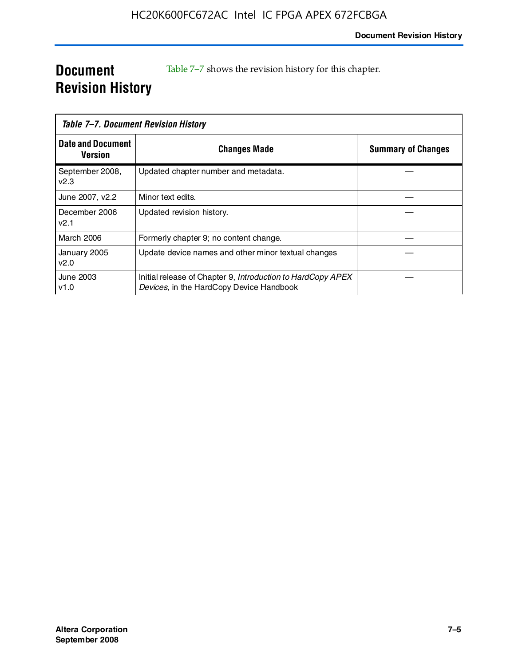# **Document Revision History**

Table 7–7 shows the revision history for this chapter.

| Table 7-7. Document Revision History |                                                                                                         |                           |
|--------------------------------------|---------------------------------------------------------------------------------------------------------|---------------------------|
| <b>Date and Document</b><br>Version  | <b>Changes Made</b>                                                                                     | <b>Summary of Changes</b> |
| September 2008,<br>V <sub>2.3</sub>  | Updated chapter number and metadata.                                                                    |                           |
| June 2007, v2.2                      | Minor text edits.                                                                                       |                           |
| December 2006<br>v2.1                | Updated revision history.                                                                               |                           |
| <b>March 2006</b>                    | Formerly chapter 9; no content change.                                                                  |                           |
| January 2005<br>v2.0                 | Update device names and other minor textual changes                                                     |                           |
| June 2003<br>v1.0                    | Initial release of Chapter 9, Introduction to HardCopy APEX<br>Devices, in the HardCopy Device Handbook |                           |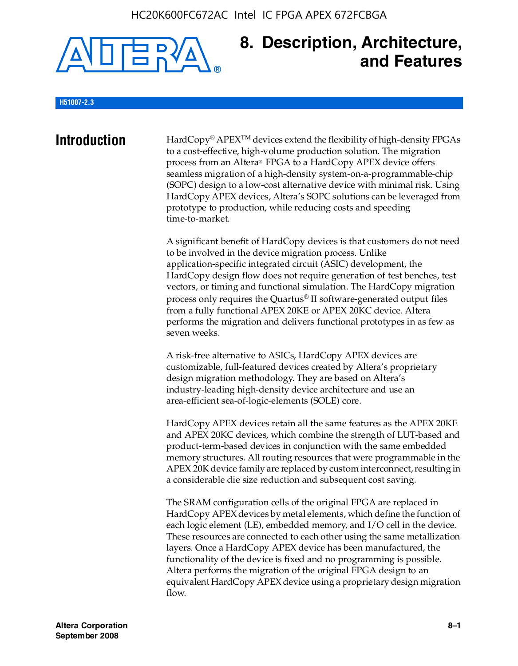

# **8. Description, Architecture, and Features**

### **H51007-2.3**

**Introduction** HardCopy<sup>®</sup> APEX<sup>TM</sup> devices extend the flexibility of high-density FPGAs to a cost-effective, high-volume production solution. The migration process from an Altera® FPGA to a HardCopy APEX device offers seamless migration of a high-density system-on-a-programmable-chip (SOPC) design to a low-cost alternative device with minimal risk. Using HardCopy APEX devices, Altera's SOPC solutions can be leveraged from prototype to production, while reducing costs and speeding time-to-market.

> A significant benefit of HardCopy devices is that customers do not need to be involved in the device migration process. Unlike application-specific integrated circuit (ASIC) development, the HardCopy design flow does not require generation of test benches, test vectors, or timing and functional simulation. The HardCopy migration process only requires the Quartus® II software-generated output files from a fully functional APEX 20KE or APEX 20KC device. Altera performs the migration and delivers functional prototypes in as few as seven weeks.

A risk-free alternative to ASICs, HardCopy APEX devices are customizable, full-featured devices created by Altera's proprietary design migration methodology. They are based on Altera's industry-leading high-density device architecture and use an area-efficient sea-of-logic-elements (SOLE) core.

HardCopy APEX devices retain all the same features as the APEX 20KE and APEX 20KC devices, which combine the strength of LUT-based and product-term-based devices in conjunction with the same embedded memory structures. All routing resources that were programmable in the APEX 20K device family are replaced by custom interconnect, resulting in a considerable die size reduction and subsequent cost saving.

The SRAM configuration cells of the original FPGA are replaced in HardCopy APEX devices by metal elements, which define the function of each logic element (LE), embedded memory, and I/O cell in the device. These resources are connected to each other using the same metallization layers. Once a HardCopy APEX device has been manufactured, the functionality of the device is fixed and no programming is possible. Altera performs the migration of the original FPGA design to an equivalent HardCopy APEX device using a proprietary design migration flow.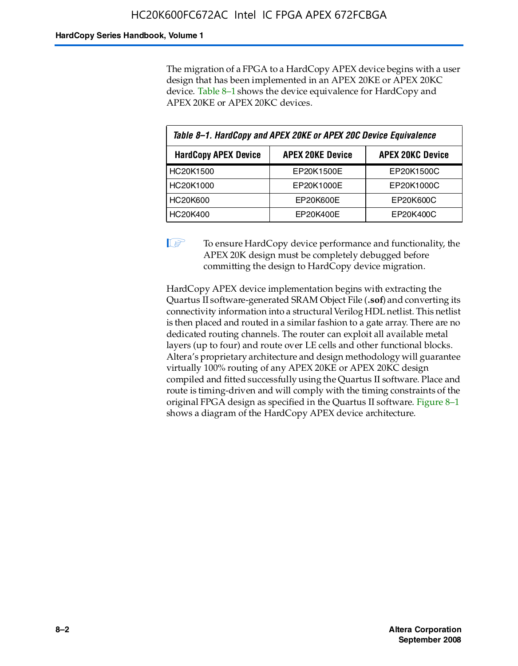The migration of a FPGA to a HardCopy APEX device begins with a user design that has been implemented in an APEX 20KE or APEX 20KC device. Table 8–1 shows the device equivalence for HardCopy and APEX 20KE or APEX 20KC devices.

| Table 8-1. HardCopy and APEX 20KE or APEX 20C Device Equivalence |                         |                         |  |
|------------------------------------------------------------------|-------------------------|-------------------------|--|
| <b>HardCopy APEX Device</b>                                      | <b>APEX 20KE Device</b> | <b>APEX 20KC Device</b> |  |
| HC20K1500                                                        | EP20K1500E              | EP20K1500C              |  |
| HC20K1000                                                        | EP20K1000E              | EP20K1000C              |  |
| <b>HC20K600</b>                                                  | EP20K600E               | EP20K600C               |  |
| HC20K400                                                         | EP20K400E               | EP20K400C               |  |

 $\mathbb{I}$  To ensure HardCopy device performance and functionality, the APEX 20K design must be completely debugged before committing the design to HardCopy device migration.

HardCopy APEX device implementation begins with extracting the Quartus II software-generated SRAM Object File (**.sof**) and converting its connectivity information into a structural Verilog HDL netlist. This netlist is then placed and routed in a similar fashion to a gate array. There are no dedicated routing channels. The router can exploit all available metal layers (up to four) and route over LE cells and other functional blocks. Altera's proprietary architecture and design methodology will guarantee virtually 100% routing of any APEX 20KE or APEX 20KC design compiled and fitted successfully using the Quartus II software. Place and route is timing-driven and will comply with the timing constraints of the original FPGA design as specified in the Quartus II software. Figure 8–1 shows a diagram of the HardCopy APEX device architecture.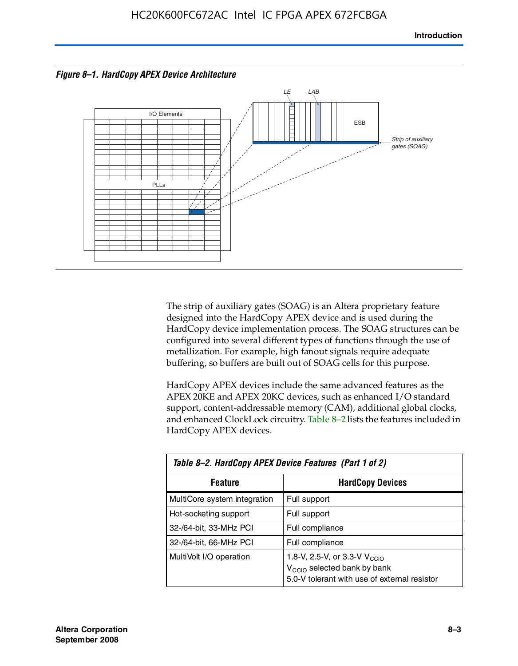



The strip of auxiliary gates (SOAG) is an Altera proprietary feature designed into the HardCopy APEX device and is used during the HardCopy device implementation process. The SOAG structures can be configured into several different types of functions through the use of metallization. For example, high fanout signals require adequate buffering, so buffers are built out of SOAG cells for this purpose.

HardCopy APEX devices include the same advanced features as the APEX 20KE and APEX 20KC devices, such as enhanced I/O standard support, content-addressable memory (CAM), additional global clocks, and enhanced ClockLock circuitry. Table 8–2 lists the features included in HardCopy APEX devices.

| Table 8–2. HardCopy APEX Device Features (Part 1 of 2) |                                                                                                                                     |  |  |
|--------------------------------------------------------|-------------------------------------------------------------------------------------------------------------------------------------|--|--|
| <b>Feature</b>                                         | <b>HardCopy Devices</b>                                                                                                             |  |  |
| MultiCore system integration                           | Full support                                                                                                                        |  |  |
| Hot-socketing support                                  | Full support                                                                                                                        |  |  |
| 32-/64-bit, 33-MHz PCI                                 | Full compliance                                                                                                                     |  |  |
| 32-/64-bit, 66-MHz PCI                                 | Full compliance                                                                                                                     |  |  |
| MultiVolt I/O operation                                | 1.8-V, 2.5-V, or 3.3-V V <sub>CCIO</sub><br>V <sub>CCIO</sub> selected bank by bank<br>5.0-V tolerant with use of external resistor |  |  |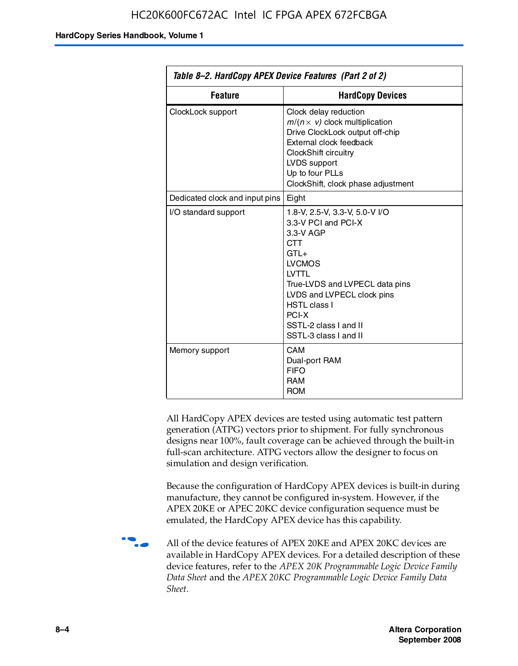| Table 8–2. HardCopy APEX Device Features (Part 2 of 2) |                                                                                                                                                                                                                                                                                |  |
|--------------------------------------------------------|--------------------------------------------------------------------------------------------------------------------------------------------------------------------------------------------------------------------------------------------------------------------------------|--|
| <b>Feature</b>                                         | <b>HardCopy Devices</b>                                                                                                                                                                                                                                                        |  |
| ClockLock support                                      | Clock delay reduction<br>$m/(n \times v)$ clock multiplication<br>Drive ClockLock output off-chip<br>External clock feedback<br>ClockShift circuitry<br>LVDS support<br>Up to four PLLs<br>ClockShift, clock phase adjustment                                                  |  |
| Dedicated clock and input pins                         | Eight                                                                                                                                                                                                                                                                          |  |
| I/O standard support                                   | 1.8-V, 2.5-V, 3.3-V, 5.0-V I/O<br>3.3-V PCI and PCI-X<br>3.3-V AGP<br><b>CTT</b><br>$GTI +$<br><b>LVCMOS</b><br><b>IVTTI</b><br>True-LVDS and LVPECL data pins<br>LVDS and LVPECL clock pins<br><b>HSTL class I</b><br>PCI-X<br>SSTL-2 class I and II<br>SSTL-3 class I and II |  |
| Memory support                                         | CAM<br>Dual-port RAM<br><b>FIFO</b><br><b>RAM</b><br><b>ROM</b>                                                                                                                                                                                                                |  |

All HardCopy APEX devices are tested using automatic test pattern generation (ATPG) vectors prior to shipment. For fully synchronous designs near 100%, fault coverage can be achieved through the built-in full-scan architecture. ATPG vectors allow the designer to focus on simulation and design verification.

Because the configuration of HardCopy APEX devices is built-in during manufacture, they cannot be configured in-system. However, if the APEX 20KE or APEC 20KC device configuration sequence must be emulated, the HardCopy APEX device has this capability.

**f all of the device features of APEX 20KE and APEX 20KC devices are** available in HardCopy APEX devices. For a detailed description of these device features, refer to the *APEX 20K Programmable Logic Device Family Data Sheet* and the *APEX 20KC Programmable Logic Device Family Data Sheet*.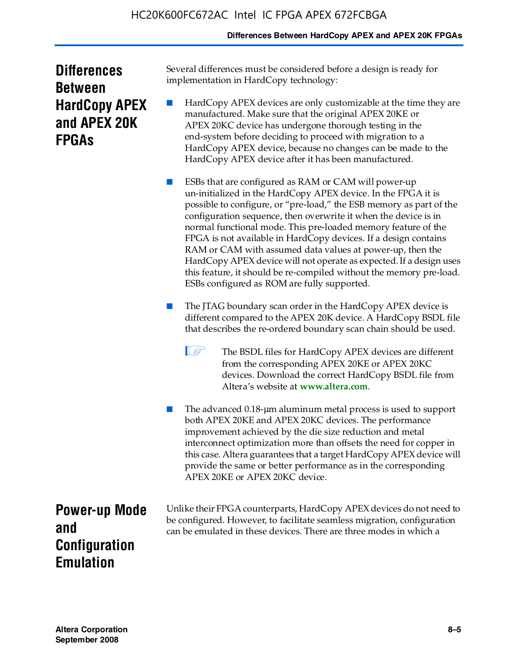### **Differences Between HardCopy APEX and APEX 20K FPGAs**

| <b>Differences</b>   |
|----------------------|
| <b>Between</b>       |
| <b>HardCopy APEX</b> |
| and APEX 20K         |
| <b>FPGAs</b>         |

Several differences must be considered before a design is ready for implementation in HardCopy technology:

HardCopy APEX devices are only customizable at the time they are manufactured. Make sure that the original APEX 20KE or APEX 20KC device has undergone thorough testing in the end-system before deciding to proceed with migration to a HardCopy APEX device, because no changes can be made to the HardCopy APEX device after it has been manufactured.

ESBs that are configured as RAM or CAM will power-up un-initialized in the HardCopy APEX device. In the FPGA it is possible to configure, or "pre-load," the ESB memory as part of the configuration sequence, then overwrite it when the device is in normal functional mode. This pre-loaded memory feature of the FPGA is not available in HardCopy devices. If a design contains RAM or CAM with assumed data values at power-up, then the HardCopy APEX device will not operate as expected. If a design uses this feature, it should be re-compiled without the memory pre-load. ESBs configured as ROM are fully supported.

The JTAG boundary scan order in the HardCopy APEX device is different compared to the APEX 20K device. A HardCopy BSDL file that describes the re-ordered boundary scan chain should be used.

**1 The BSDL files for HardCopy APEX devices are different** from the corresponding APEX 20KE or APEX 20KC devices. Download the correct HardCopy BSDL file from Altera's website at **[www.altera.com](http://www.altera.com)**.

The advanced 0.18-μm aluminum metal process is used to support both APEX 20KE and APEX 20KC devices. The performance improvement achieved by the die size reduction and metal interconnect optimization more than offsets the need for copper in this case. Altera guarantees that a target HardCopy APEX device will provide the same or better performance as in the corresponding APEX 20KE or APEX 20KC device.

**Power-up Mode and Configuration Emulation**

Unlike their FPGA counterparts, HardCopy APEX devices do not need to be configured. However, to facilitate seamless migration, configuration can be emulated in these devices. There are three modes in which a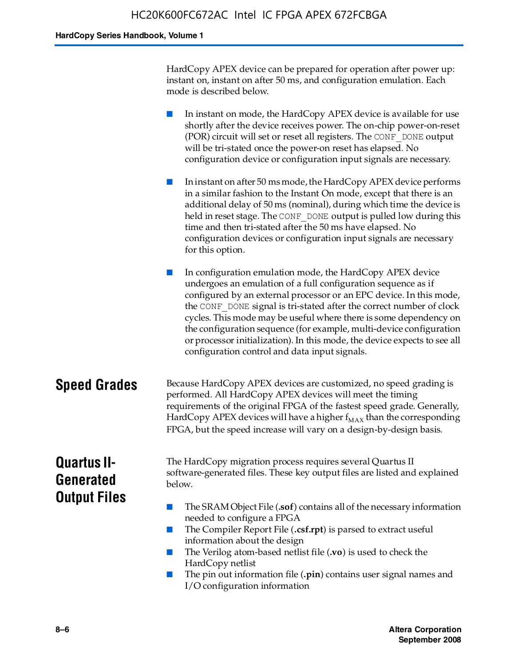HardCopy APEX device can be prepared for operation after power up: instant on, instant on after 50 ms, and configuration emulation. Each mode is described below.

■ In instant on mode, the HardCopy APEX device is available for use shortly after the device receives power. The on-chip power-on-reset (POR) circuit will set or reset all registers. The CONF\_DONE output will be tri-stated once the power-on reset has elapsed. No configuration device or configuration input signals are necessary.

In instant on after 50 ms mode, the HardCopy APEX device performs in a similar fashion to the Instant On mode, except that there is an additional delay of 50 ms (nominal), during which time the device is held in reset stage. The CONF DONE output is pulled low during this time and then tri-stated after the 50 ms have elapsed. No configuration devices or configuration input signals are necessary for this option.

In configuration emulation mode, the HardCopy APEX device undergoes an emulation of a full configuration sequence as if configured by an external processor or an EPC device. In this mode, the CONF\_DONE signal is tri-stated after the correct number of clock cycles. This mode may be useful where there is some dependency on the configuration sequence (for example, multi-device configuration or processor initialization). In this mode, the device expects to see all configuration control and data input signals.

### **Speed Grades** Because HardCopy APEX devices are customized, no speed grading is performed. All HardCopy APEX devices will meet the timing requirements of the original FPGA of the fastest speed grade. Generally, HardCopy APEX devices will have a higher  $f_{MAX}$  than the corresponding FPGA, but the speed increase will vary on a design-by-design basis.

# **Quartus II-Generated Output Files**

The HardCopy migration process requires several Quartus II software-generated files. These key output files are listed and explained below.

- The SRAM Object File (**.sof**) contains all of the necessary information needed to configure a FPGA
- The Compiler Report File (.csf.rpt) is parsed to extract useful information about the design
- The Verilog atom-based netlist file (**.vo**) is used to check the HardCopy netlist
- The pin out information file (**.pin**) contains user signal names and I/O configuration information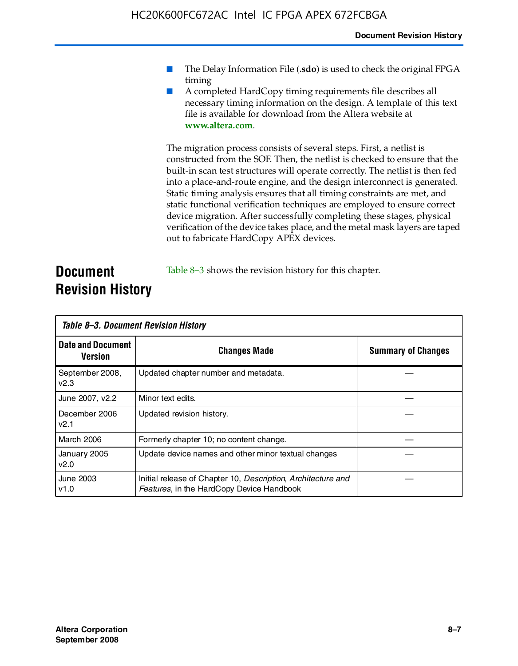- The Delay Information File (.sdo) is used to check the original FPGA timing
- A completed HardCopy timing requirements file describes all necessary timing information on the design. A template of this text file is available for download from the Altera website at **www.altera.com**.

The migration process consists of several steps. First, a netlist is constructed from the SOF. Then, the netlist is checked to ensure that the built-in scan test structures will operate correctly. The netlist is then fed into a place-and-route engine, and the design interconnect is generated. Static timing analysis ensures that all timing constraints are met, and static functional verification techniques are employed to ensure correct device migration. After successfully completing these stages, physical verification of the device takes place, and the metal mask layers are taped out to fabricate HardCopy APEX devices.

## **Document Revision History** Table 8–3 shows the revision history for this chapter.

| Table 8–3. Document Revision History |                                                                                                           |                           |  |  |  |
|--------------------------------------|-----------------------------------------------------------------------------------------------------------|---------------------------|--|--|--|
| <b>Date and Document</b><br>Version  | <b>Changes Made</b>                                                                                       | <b>Summary of Changes</b> |  |  |  |
| September 2008,<br>V <sub>2.3</sub>  | Updated chapter number and metadata.                                                                      |                           |  |  |  |
| June 2007, v2.2                      | Minor text edits.                                                                                         |                           |  |  |  |
| December 2006<br>v2.1                | Updated revision history.                                                                                 |                           |  |  |  |
| March 2006                           | Formerly chapter 10; no content change.                                                                   |                           |  |  |  |
| January 2005<br>v2.0                 | Update device names and other minor textual changes                                                       |                           |  |  |  |
| <b>June 2003</b><br>v1.0             | Initial release of Chapter 10, Description, Architecture and<br>Features, in the HardCopy Device Handbook |                           |  |  |  |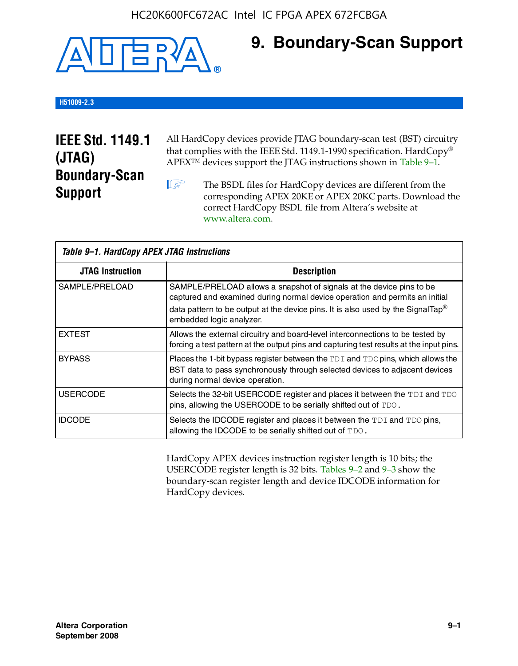

# **9. Boundary-Scan Support**

### **H51009-2.3**

# **IEEE Std. 1149.1 (JTAG) Boundary-Scan Support**

All HardCopy devices provide JTAG boundary-scan test (BST) circuitry that complies with the IEEE Std. 1149.1-1990 specification. HardCopy® APEX™ devices support the JTAG instructions shown in Table 9–1.

**1 The BSDL files for HardCopy devices are different from the** corresponding APEX 20KE or APEX 20KC parts. Download the [correct HardCopy BSDL file from Altera's website at](http://www.altera.com)  www.altera.com.

| Table 9-1. HardCopy APEX JTAG Instructions |                                                                                                                                                                                                                                                                                |  |  |  |
|--------------------------------------------|--------------------------------------------------------------------------------------------------------------------------------------------------------------------------------------------------------------------------------------------------------------------------------|--|--|--|
| <b>JTAG Instruction</b>                    | <b>Description</b>                                                                                                                                                                                                                                                             |  |  |  |
| SAMPLE/PRELOAD                             | SAMPLE/PRELOAD allows a snapshot of signals at the device pins to be<br>captured and examined during normal device operation and permits an initial<br>data pattern to be output at the device pins. It is also used by the SignalTap <sup>®</sup><br>embedded logic analyzer. |  |  |  |
| <b>EXTEST</b>                              | Allows the external circuitry and board-level interconnections to be tested by<br>forcing a test pattern at the output pins and capturing test results at the input pins.                                                                                                      |  |  |  |
| <b>BYPASS</b>                              | Places the 1-bit bypass register between the TDI and TDO pins, which allows the<br>BST data to pass synchronously through selected devices to adjacent devices<br>during normal device operation.                                                                              |  |  |  |
| <b>USERCODE</b>                            | Selects the 32-bit USERCODE register and places it between the TDI and TDO<br>pins, allowing the USERCODE to be serially shifted out of TDO.                                                                                                                                   |  |  |  |
| <b>IDCODE</b>                              | Selects the IDCODE register and places it between the TDI and TDO pins,<br>allowing the IDCODE to be serially shifted out of TDO.                                                                                                                                              |  |  |  |

HardCopy APEX devices instruction register length is 10 bits; the USERCODE register length is 32 bits. Tables 9–2 and 9–3 show the boundary-scan register length and device IDCODE information for HardCopy devices.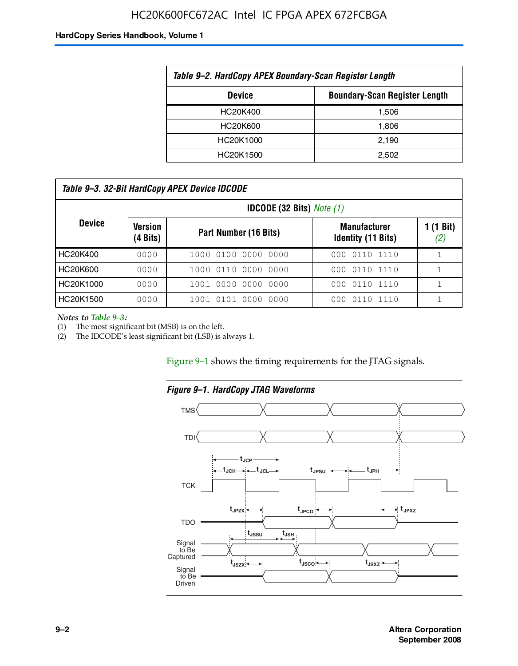# HC20K600FC672AC Intel IC FPGA APEX 672FCBGA

#### **HardCopy Series Handbook, Volume 1**

| Table 9-2. HardCopy APEX Boundary-Scan Register Length |       |  |  |  |
|--------------------------------------------------------|-------|--|--|--|
| <b>Boundary-Scan Register Length</b><br><b>Device</b>  |       |  |  |  |
| HC20K400                                               | 1,506 |  |  |  |
| HC20K600                                               | 1,806 |  |  |  |
| HC20K1000                                              | 2,190 |  |  |  |
| HC20K1500                                              | 2.502 |  |  |  |

| Table 9–3. 32-Bit HardCopy APEX Device IDCODE |                     |                        |                                                  |                           |  |
|-----------------------------------------------|---------------------|------------------------|--------------------------------------------------|---------------------------|--|
| <b>IDCODE (32 Bits)</b> <i>Note (1)</i>       |                     |                        |                                                  |                           |  |
| <b>Device</b>                                 | Version<br>(4 Bits) | Part Number (16 Bits)  | <b>Manufacturer</b><br><b>Identity (11 Bits)</b> | $1(1 \text{ Bit})$<br>(2) |  |
| HC20K400                                      | 0000                | 1000 0100 0000 0000    | 0110 1110<br>000                                 |                           |  |
| HC20K600                                      | 0000                | 1000 0110 0000 0000    | 000 0110 1110                                    |                           |  |
| HC20K1000                                     | 0000                | 1001 0000 0000 0000    | 000 0110 1110                                    |                           |  |
| HC20K1500                                     | 0000                | 1001 0101 0000<br>0000 | 0110 1110<br>000                                 |                           |  |

*Notes to Table 9–3:*

(1) The most significant bit (MSB) is on the left.

(2) The IDCODE's least significant bit (LSB) is always 1.

Figure 9–1 shows the timing requirements for the JTAG signals.



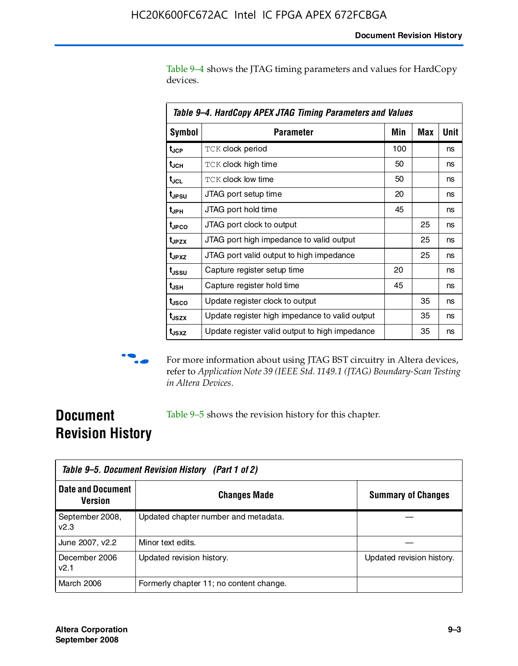Table 9–4 shows the JTAG timing parameters and values for HardCopy devices.

| Table 9–4. HardCopy APEX JTAG Timing Parameters and Values |                                                |     |     |      |  |  |
|------------------------------------------------------------|------------------------------------------------|-----|-----|------|--|--|
| <b>Symbol</b>                                              | Parameter                                      | Min | Max | Unit |  |  |
| t <sub>JCP</sub>                                           | <b>TCK clock period</b>                        | 100 |     | ns   |  |  |
| t <sub>JCH</sub>                                           | <b>TCK clock high time</b>                     | 50  |     | ns   |  |  |
| t <sub>JCL</sub>                                           | <b>TCK clock low time</b>                      | 50  |     | ns   |  |  |
| t <sub>JPSU</sub>                                          | JTAG port setup time                           | 20  |     | ns   |  |  |
| t <sub>JPH</sub>                                           | JTAG port hold time                            | 45  |     | ns   |  |  |
| t <sub>JPCO</sub>                                          | JTAG port clock to output                      |     | 25  | ns   |  |  |
| t <sub>JPZX</sub>                                          | JTAG port high impedance to valid output       |     | 25  | ns   |  |  |
| t <sub>JPXZ</sub>                                          | JTAG port valid output to high impedance       |     | 25  | ns   |  |  |
| t <sub>ussu</sub>                                          | Capture register setup time                    | 20  |     | ns   |  |  |
| t <sub>JSH</sub>                                           | Capture register hold time                     | 45  |     | ns   |  |  |
| t <sub>JSCO</sub>                                          | Update register clock to output                |     | 35  | ns   |  |  |
| t <sub>JSZX</sub>                                          | Update register high impedance to valid output |     | 35  | ns   |  |  |
| t <sub>JSXZ</sub>                                          | Update register valid output to high impedance |     | 35  | ns   |  |  |



**f** For more information about using JTAG BST circuitry in Altera devices, refer to *Application Note 39 (IEEE Std. 1149.1 (JTAG) Boundary-Scan Testing in Altera Devices*.

# **Document Revision History**

Table 9–5 shows the revision history for this chapter.

|                                            | Table 9–5. Document Revision History (Part 1 of 2) |                           |  |  |  |
|--------------------------------------------|----------------------------------------------------|---------------------------|--|--|--|
| <b>Date and Document</b><br><b>Version</b> | <b>Changes Made</b>                                | <b>Summary of Changes</b> |  |  |  |
| September 2008,<br>V <sub>2.3</sub>        | Updated chapter number and metadata.               |                           |  |  |  |
| June 2007, v2.2                            | Minor text edits.                                  |                           |  |  |  |
| December 2006<br>v2.1                      | Updated revision history.                          | Updated revision history. |  |  |  |
| March 2006                                 | Formerly chapter 11; no content change.            |                           |  |  |  |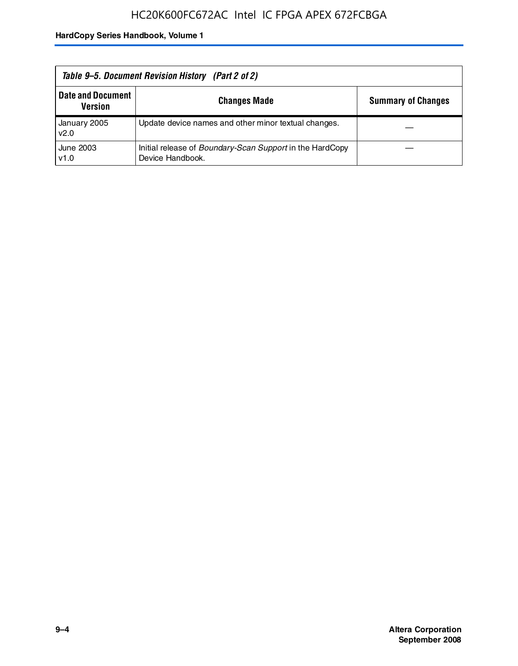| Table 9–5. Document Revision History (Part 2 of 2) |                                                                                     |                           |  |  |
|----------------------------------------------------|-------------------------------------------------------------------------------------|---------------------------|--|--|
| <b>Date and Document</b><br><b>Version</b>         | <b>Changes Made</b>                                                                 | <b>Summary of Changes</b> |  |  |
| January 2005<br>v2.0                               | Update device names and other minor textual changes.                                |                           |  |  |
| June 2003<br>v1.0                                  | Initial release of <i>Boundary-Scan Support</i> in the HardCopy<br>Device Handbook. |                           |  |  |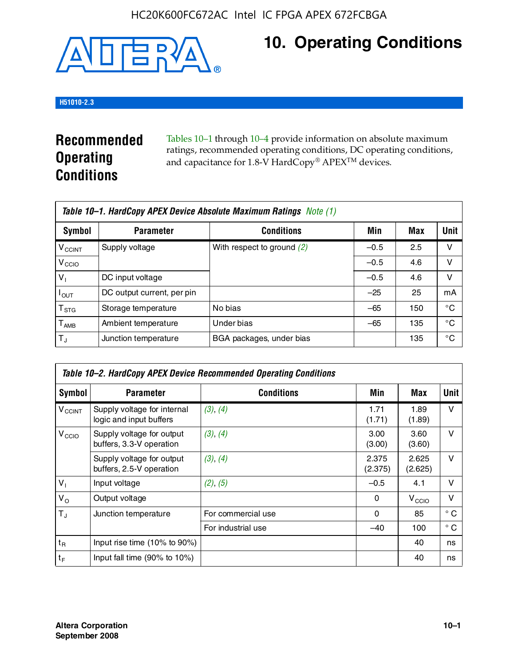

# **10. Operating Conditions**

### **H51010-2.3**

# **Recommended Operating Conditions**

Tables 10–1 through 10–4 provide information on absolute maximum ratings, recommended operating conditions, DC operating conditions, and capacitance for 1.8-V HardCopy® APEX<sup>TM</sup> devices.

| Table 10–1. HardCopy APEX Device Absolute Maximum Ratings Note (1) |                            |                              |        |     |             |  |
|--------------------------------------------------------------------|----------------------------|------------------------------|--------|-----|-------------|--|
| Symbol                                                             | <b>Parameter</b>           | <b>Conditions</b>            | Min    | Max | <b>Unit</b> |  |
| <b>V<sub>CCINT</sub></b>                                           | Supply voltage             | With respect to ground $(2)$ | $-0.5$ | 2.5 | v           |  |
| V <sub>CCIO</sub>                                                  |                            |                              | $-0.5$ | 4.6 | ν           |  |
| $V_1$                                                              | DC input voltage           |                              | $-0.5$ | 4.6 | v           |  |
| $I_{OUT}$                                                          | DC output current, per pin |                              | $-25$  | 25  | mA          |  |
| $\mathsf{T}_{\text{STG}}$                                          | Storage temperature        | No bias                      | $-65$  | 150 | °€          |  |
| $T_{\sf AMB}$                                                      | Ambient temperature        | Under bias                   | $-65$  | 135 | °C          |  |
| $T_{\rm J}$                                                        | Junction temperature       | BGA packages, under bias     |        | 135 | °C          |  |

|                          | Table 10–2. HardCopy APEX Device Recommended Operating Conditions |                    |                  |                   |              |  |  |  |
|--------------------------|-------------------------------------------------------------------|--------------------|------------------|-------------------|--------------|--|--|--|
| Symbol                   | <b>Parameter</b>                                                  | <b>Conditions</b>  | Min              | Max               | <b>Unit</b>  |  |  |  |
| <b>V<sub>CCINT</sub></b> | Supply voltage for internal<br>logic and input buffers            | (3), (4)           | 1.71<br>(1.71)   | 1.89<br>(1.89)    | $\vee$       |  |  |  |
| V <sub>CCIO</sub>        | Supply voltage for output<br>buffers, 3.3-V operation             | (3), (4)           | 3.00<br>(3.00)   | 3.60<br>(3.60)    | $\vee$       |  |  |  |
|                          | Supply voltage for output<br>buffers, 2.5-V operation             | (3), (4)           | 2.375<br>(2.375) | 2.625<br>(2.625)  | $\vee$       |  |  |  |
| $V_1$                    | Input voltage                                                     | (2), (5)           | $-0.5$           | 4.1               | $\vee$       |  |  |  |
| $V_{\rm O}$              | Output voltage                                                    |                    | 0                | V <sub>CCIO</sub> | $\vee$       |  |  |  |
| $T_{\rm J}$              | Junction temperature                                              | For commercial use | 0                | 85                | $^{\circ}$ C |  |  |  |
|                          |                                                                   | For industrial use | $-40$            | 100               | $^{\circ}$ C |  |  |  |
| $t_{R}$                  | Input rise time $(10\% \text{ to } 90\%)$                         |                    |                  | 40                | ns           |  |  |  |
| $t_F$                    | Input fall time $(90\% \text{ to } 10\%)$                         |                    |                  | 40                | ns           |  |  |  |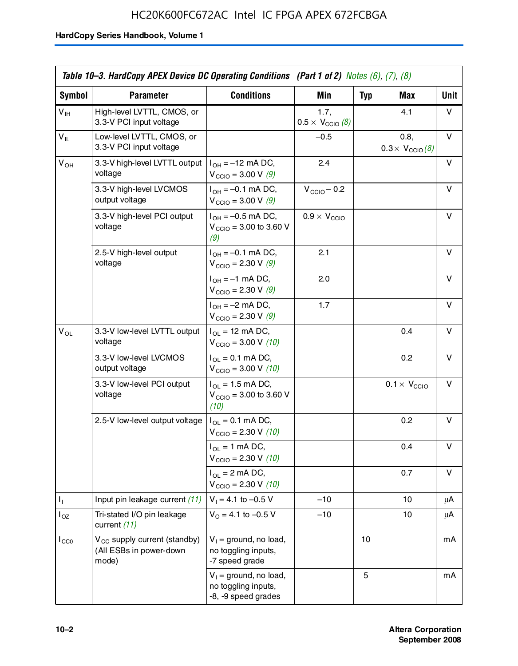# HC20K600FC672AC Intel IC FPGA APEX 672FCBGA

|                 | Table 10–3. HardCopy APEX Device DC Operating Conditions (Part 1 of 2) Notes (6), (7), (8) |                                                                        |                                          |            |                                         |      |  |
|-----------------|--------------------------------------------------------------------------------------------|------------------------------------------------------------------------|------------------------------------------|------------|-----------------------------------------|------|--|
| Symbol          | <b>Parameter</b>                                                                           | <b>Conditions</b>                                                      | <b>Min</b>                               | <b>Typ</b> | Max                                     | Unit |  |
| $V_{\text{IH}}$ | High-level LVTTL, CMOS, or<br>3.3-V PCI input voltage                                      |                                                                        | 1.7.<br>$0.5 \times V_{\text{CCIO}}$ (8) |            | 4.1                                     | v    |  |
| $V_{IL}$        | Low-level LVTTL, CMOS, or<br>3.3-V PCI input voltage                                       |                                                                        | $-0.5$                                   |            | 0.8,<br>$0.3 \times V_{\text{CCIO}}(8)$ | V    |  |
| $V_{OH}$        | 3.3-V high-level LVTTL output<br>voltage                                                   | $I_{OH} = -12$ mA DC,<br>$V_{\text{CCIO}} = 3.00 V (9)$                | 2.4                                      |            |                                         | v    |  |
|                 | 3.3-V high-level LVCMOS<br>output voltage                                                  | $I_{OH} = -0.1$ mA DC,<br>$V_{\text{CCIO}} = 3.00 \text{ V} (9)$       | $V_{\text{CCIO}} - 0.2$                  |            |                                         | v    |  |
|                 | 3.3-V high-level PCI output<br>voltage                                                     | $I_{OH} = -0.5$ mA DC,<br>$V_{\text{CCIO}} = 3.00$ to 3.60 V<br>(9)    | $0.9 \times V_{\text{CCIO}}$             |            |                                         | v    |  |
|                 | 2.5-V high-level output<br>voltage                                                         | $I_{OH} = -0.1$ mA DC,<br>$V_{\text{CCIO}} = 2.30 \text{ V} (9)$       | 2.1                                      |            |                                         | v    |  |
|                 |                                                                                            | $I_{OH} = -1$ mA DC,<br>$V_{\text{CCIO}} = 2.30 \text{ V} (9)$         | 2.0                                      |            |                                         | v    |  |
|                 |                                                                                            | $I_{OH} = -2$ mA DC,<br>$V_{\text{CCIO}} = 2.30 \text{ V} (9)$         | 1.7                                      |            |                                         | v    |  |
| $V_{OL}$        | 3.3-V low-level LVTTL output<br>voltage                                                    | $I_{OL}$ = 12 mA DC,<br>$V_{\text{CCIO}} = 3.00 V (10)$                |                                          |            | 0.4                                     | v    |  |
|                 | 3.3-V low-level LVCMOS<br>output voltage                                                   | $I_{OL} = 0.1$ mA DC,<br>$V_{\text{CCIO}} = 3.00 \text{ V} (10)$       |                                          |            | 0.2                                     | v    |  |
|                 | 3.3-V low-level PCI output<br>voltage                                                      | $I_{OL}$ = 1.5 mA DC,<br>$V_{\text{CCIO}} = 3.00$ to 3.60 V<br>(10)    |                                          |            | $0.1 \times V_{\text{CCIO}}$            | v    |  |
|                 | 2.5-V low-level output voltage                                                             | $I_{OL} = 0.1$ mA DC,<br>$V_{\text{CCIO}} = 2.30 \text{ V} (10)$       |                                          |            | 0.2                                     | v    |  |
|                 |                                                                                            | $I_{OL}$ = 1 mA DC,<br>$V_{\text{CCIO}} = 2.30 V (10)$                 |                                          |            | 0.4                                     | v    |  |
|                 |                                                                                            | $I_{OL}$ = 2 mA DC,<br>$V_{\text{CCIO}} = 2.30 V (10)$                 |                                          |            | 0.7                                     | v    |  |
| Τ,              | Input pin leakage current (11)                                                             | $V_1 = 4.1$ to $-0.5$ V                                                | $-10$                                    |            | 10                                      | μA   |  |
| $I_{OZ}$        | Tri-stated I/O pin leakage<br>current (11)                                                 | $V_0$ = 4.1 to -0.5 V                                                  | $-10$                                    |            | 10                                      | μA   |  |
| $I_{CC0}$       | $V_{CC}$ supply current (standby)<br>(All ESBs in power-down<br>mode)                      | $V_1$ = ground, no load,<br>no toggling inputs,<br>-7 speed grade      |                                          | 10         |                                         | mA   |  |
|                 |                                                                                            | $V_1$ = ground, no load,<br>no toggling inputs,<br>-8, -9 speed grades |                                          | 5          |                                         | mA   |  |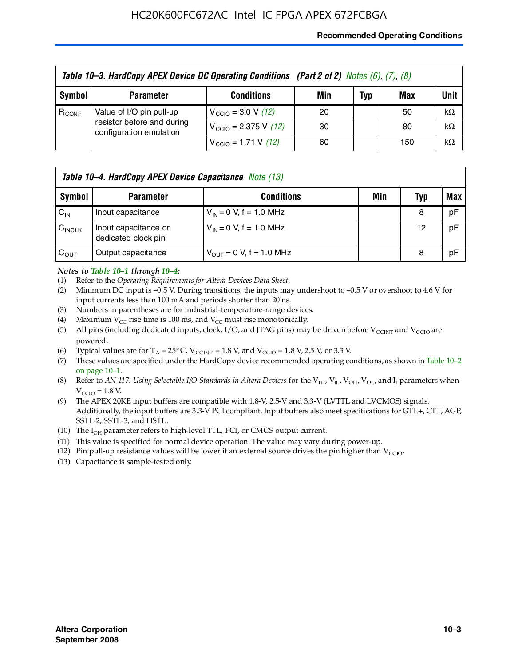### **Recommended Operating Conditions**

| Table 10-3. HardCopy APEX Device DC Operating Conditions (Part 2 of 2) Notes (6), (7), (8) |                                                                                   |                                          |     |     |     |           |  |
|--------------------------------------------------------------------------------------------|-----------------------------------------------------------------------------------|------------------------------------------|-----|-----|-----|-----------|--|
| Symbol                                                                                     | <b>Parameter</b>                                                                  | <b>Conditions</b>                        | Min | Typ | Max | Unit      |  |
| $R_{CONF}$                                                                                 | Value of I/O pin pull-up<br>resistor before and during<br>configuration emulation | $V_{\text{CCIO}} = 3.0 V (12)$           | 20  |     | 50  | $k\Omega$ |  |
|                                                                                            |                                                                                   | $V_{\text{CCIO}} = 2.375 \text{ V}$ (12) | 30  |     | 80  | $k\Omega$ |  |
|                                                                                            |                                                                                   | $V_{\text{CCIO}} = 1.71 \text{ V}$ (12)  | 60  |     | 150 | $k\Omega$ |  |

|                    | Table 10-4. HardCopy APEX Device Capacitance Note (13) |                                     |     |     |     |  |  |
|--------------------|--------------------------------------------------------|-------------------------------------|-----|-----|-----|--|--|
| Symbol             | <b>Parameter</b>                                       | <b>Conditions</b>                   | Min | Typ | Max |  |  |
| $C_{IN}$           | Input capacitance                                      | $V_{IN} = 0$ V, f = 1.0 MHz         |     | 8   | pF  |  |  |
| $C_{\text{INCLK}}$ | Input capacitance on<br>dedicated clock pin            | $V_{IN} = 0$ V, f = 1.0 MHz         |     | 12  | pF  |  |  |
| $C_{OUT}$          | Output capacitance                                     | $V_{\text{OUT}} = 0$ V, f = 1.0 MHz |     | 8   | pF  |  |  |

#### *Notes to Table 10–1 through 10–4:*

- (1) Refer to the *Operating Requirements for Altera Devices Data Sheet*.
- (2) Minimum DC input is –0.5 V. During transitions, the inputs may undershoot to –0.5 V or overshoot to 4.6 V for input currents less than 100 mA and periods shorter than 20 ns.
- (3) Numbers in parentheses are for industrial-temperature-range devices.
- (4) Maximum  $V_{CC}$  rise time is 100 ms, and  $V_{CC}$  must rise monotonically.
- (5) All pins (including dedicated inputs, clock, I/O, and JTAG pins) may be driven before  $V_{\text{CCINT}}$  and  $V_{\text{CCIO}}$  are powered.
- (6) Typical values are for  $T_A = 25^{\circ}$  C,  $V_{CCTNT} = 1.8$  V, and  $V_{CCTO} = 1.8$  V, 2.5 V, or 3.3 V.
- (7) These values are specified under the HardCopy device recommended operating conditions, as shown in Table 10–2 on page 10–1.
- (8) Refer to *AN 117: Using Selectable I/O Standards in Altera Devices* for the V<sub>IH</sub>, V<sub>IL</sub>, V<sub>OH</sub>, V<sub>OL</sub>, and I<sub>I</sub> parameters when  $V_{\text{CCIO}} = 1.8 \text{ V}$ .
- (9) The APEX 20KE input buffers are compatible with 1.8-V, 2.5-V and 3.3-V (LVTTL and LVCMOS) signals. Additionally, the input buffers are 3.3-V PCI compliant. Input buffers also meet specifications for GTL+, CTT, AGP, SSTL-2, SSTL-3, and HSTL.
- (10) The  $I_{OH}$  parameter refers to high-level TTL, PCI, or CMOS output current.
- (11) This value is specified for normal device operation. The value may vary during power-up.
- (12) Pin pull-up resistance values will be lower if an external source drives the pin higher than  $V_{CCIO}$ .
- (13) Capacitance is sample-tested only.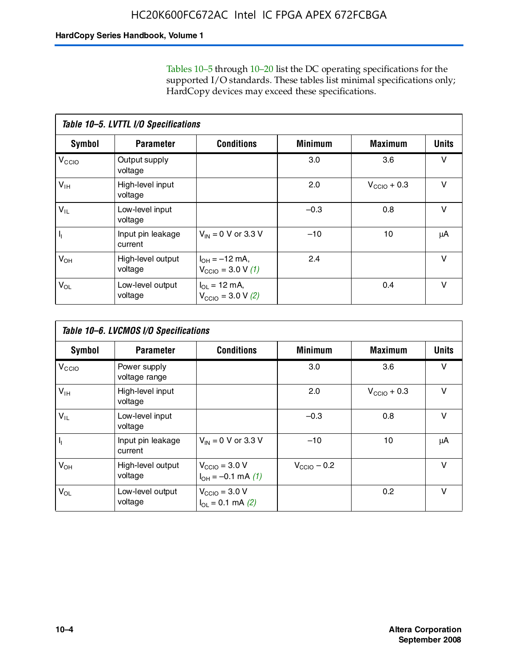Tables 10–5 through 10–20 list the DC operating specifications for the supported I/O standards. These tables list minimal specifications only; HardCopy devices may exceed these specifications.

|                           | Table 10-5. LVTTL I/O Specifications |                                                                 |                |                         |              |  |  |  |  |
|---------------------------|--------------------------------------|-----------------------------------------------------------------|----------------|-------------------------|--------------|--|--|--|--|
| Symbol                    | <b>Parameter</b>                     | <b>Conditions</b>                                               | <b>Minimum</b> | <b>Maximum</b>          | <b>Units</b> |  |  |  |  |
| V <sub>CCIO</sub>         | Output supply<br>voltage             |                                                                 | 3.0            | 3.6                     | $\vee$       |  |  |  |  |
| $V_{\text{IH}}$           | High-level input<br>voltage          |                                                                 | 2.0            | $V_{\text{CCIO}} + 0.3$ | $\vee$       |  |  |  |  |
| $V_{IL}$                  | Low-level input<br>voltage           |                                                                 | $-0.3$         | 0.8                     | v            |  |  |  |  |
| $\mathsf{I}_{\mathsf{I}}$ | Input pin leakage<br>current         | $V_{IN} = 0$ V or 3.3 V                                         | $-10$          | 10                      | μA           |  |  |  |  |
| $V_{OH}$                  | High-level output<br>voltage         | $I_{OH} = -12$ mA,<br>$V_{\text{CCIO}} = 3.0 V(1)$              | 2.4            |                         | v            |  |  |  |  |
| $V_{OL}$                  | Low-level output<br>voltage          | $I_{\Omega I} = 12 \text{ mA}$<br>$V_{\text{CCIO}} = 3.0 V (2)$ |                | 0.4                     | $\vee$       |  |  |  |  |

|                   | Table 10-6. LVCMOS I/O Specifications |                                                           |                         |                         |              |  |  |  |  |
|-------------------|---------------------------------------|-----------------------------------------------------------|-------------------------|-------------------------|--------------|--|--|--|--|
| <b>Symbol</b>     | <b>Parameter</b>                      | <b>Conditions</b>                                         | <b>Minimum</b>          | <b>Maximum</b>          | <b>Units</b> |  |  |  |  |
| V <sub>CCIO</sub> | Power supply<br>voltage range         |                                                           | 3.0                     | 3.6                     | v            |  |  |  |  |
| $V_{\text{IH}}$   | High-level input<br>voltage           |                                                           | 2.0                     | $V_{\text{CCIO}} + 0.3$ | $\vee$       |  |  |  |  |
| $V_{IL}$          | Low-level input<br>voltage            |                                                           | $-0.3$                  | 0.8                     | $\vee$       |  |  |  |  |
| H,                | Input pin leakage<br>current          | $V_{IN} = 0$ V or 3.3 V                                   | $-10$                   | 10                      | μA           |  |  |  |  |
| $V_{OH}$          | High-level output<br>voltage          | $V_{\text{CCIO}} = 3.0 V$<br>$I_{OH} = -0.1$ mA $(1)$     | $V_{\text{CCIO}} - 0.2$ |                         | $\vee$       |  |  |  |  |
| $V_{OL}$          | Low-level output<br>voltage           | $V_{\text{CCIO}} = 3.0 V$<br>$I_{\text{OL}} = 0.1$ mA (2) |                         | 0.2                     | $\vee$       |  |  |  |  |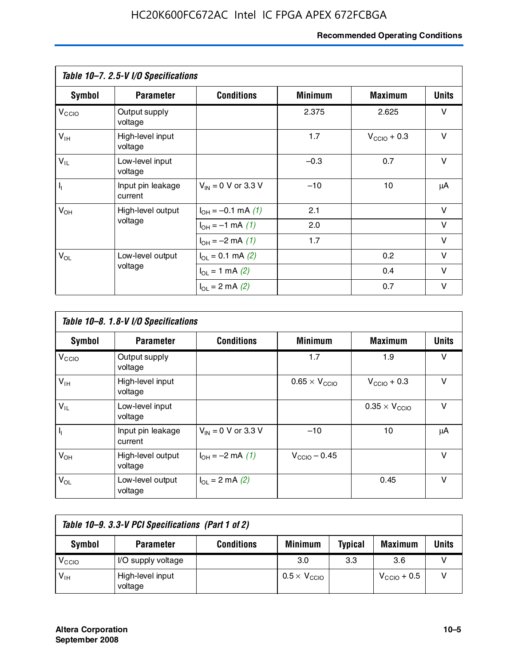# **Recommended Operating Conditions**

|                   | Table 10-7. 2.5-V I/O Specifications |                             |                |                         |              |
|-------------------|--------------------------------------|-----------------------------|----------------|-------------------------|--------------|
| Symbol            | <b>Parameter</b>                     | <b>Conditions</b>           | <b>Minimum</b> | <b>Maximum</b>          | <b>Units</b> |
| V <sub>CCIO</sub> | Output supply<br>voltage             |                             | 2.375          | 2.625                   | v            |
| $V_{\text{IH}}$   | High-level input<br>voltage          |                             | 1.7            | $V_{\text{CCIO}} + 0.3$ | $\vee$       |
| $V_{IL}$          | Low-level input<br>voltage           |                             | $-0.3$         | 0.7                     | $\vee$       |
| $\mathbf{l}_1$    | Input pin leakage<br>current         | $V_{IN} = 0$ V or 3.3 V     | $-10$          | 10                      | μA           |
| $V_{OH}$          | High-level output                    | $I_{OH} = -0.1$ mA $(1)$    | 2.1            |                         | $\vee$       |
|                   | voltage                              | $I_{OH} = -1$ mA (1)        | 2.0            |                         | V            |
|                   |                                      | $I_{OH} = -2$ mA (1)        | 1.7            |                         | v            |
| $V_{OL}$          | Low-level output                     | $I_{\Omega} = 0.1$ mA $(2)$ |                | 0.2                     | v            |
|                   | voltage                              | $I_{OL} = 1$ mA (2)         |                | 0.4                     | $\vee$       |
|                   |                                      | $I_{OL} = 2$ mA (2)         |                | 0.7                     | v            |

|                   | Table 10-8. 1.8-V I/O Specifications |                         |                               |                               |              |  |  |  |  |
|-------------------|--------------------------------------|-------------------------|-------------------------------|-------------------------------|--------------|--|--|--|--|
| Symbol            | <b>Parameter</b>                     | <b>Conditions</b>       | <b>Minimum</b>                | <b>Maximum</b>                | <b>Units</b> |  |  |  |  |
| V <sub>CCIO</sub> | Output supply<br>voltage             |                         | 1.7                           | 1.9                           | v            |  |  |  |  |
| $V_{IH}$          | High-level input<br>voltage          |                         | $0.65 \times V_{\text{CCIO}}$ | $V_{\text{CCIO}} + 0.3$       | v            |  |  |  |  |
| $V_{IL}$          | Low-level input<br>voltage           |                         |                               | $0.35 \times V_{\text{CCIO}}$ | $\vee$       |  |  |  |  |
| $\mathbf{l}_{1}$  | Input pin leakage<br>current         | $V_{IN} = 0$ V or 3.3 V | $-10$                         | 10                            | μA           |  |  |  |  |
| $V_{OH}$          | High-level output<br>voltage         | $I_{OH} = -2$ mA (1)    | $V_{\text{CCIO}} - 0.45$      |                               | v            |  |  |  |  |
| $V_{OL}$          | Low-level output<br>voltage          | $I_{\Omega}$ = 2 mA (2) |                               | 0.45                          | $\vee$       |  |  |  |  |

| Table 10-9. 3.3-V PCI Specifications (Part 1 of 2) |                             |                   |                              |                |                         |       |
|----------------------------------------------------|-----------------------------|-------------------|------------------------------|----------------|-------------------------|-------|
| Symbol                                             | <b>Parameter</b>            | <b>Conditions</b> | <b>Minimum</b>               | <b>Typical</b> | <b>Maximum</b>          | Units |
| V <sub>CIO</sub>                                   | I/O supply voltage          |                   | 3.0                          | 3.3            | 3.6                     |       |
| $V_{\text{IH}}$                                    | High-level input<br>voltage |                   | $0.5 \times V_{\text{CCIO}}$ |                | $V_{\text{CCIO}} + 0.5$ |       |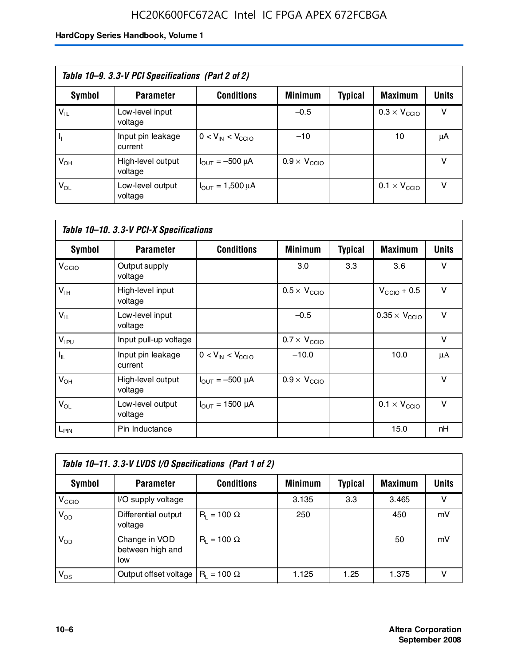# HC20K600FC672AC Intel IC FPGA APEX 672FCBGA

| Table 10-9. 3.3-V PCI Specifications (Part 2 of 2) |                              |                                        |                              |         |                              |              |
|----------------------------------------------------|------------------------------|----------------------------------------|------------------------------|---------|------------------------------|--------------|
| Symbol                                             | <b>Parameter</b>             | <b>Conditions</b>                      | <b>Minimum</b>               | Typical | <b>Maximum</b>               | <b>Units</b> |
| $V_{IL}$                                           | Low-level input<br>voltage   |                                        | $-0.5$                       |         | $0.3 \times V_{\text{CCIO}}$ | v            |
|                                                    | Input pin leakage<br>current | $0 < V_{IN} < V_{CCIO}$                | $-10$                        |         | 10                           | μA           |
| $V_{OH}$                                           | High-level output<br>voltage | $I_{\text{OUT}} = -500 \mu A$          | $0.9 \times V_{\text{CCIO}}$ |         |                              | v            |
| $V_{OL}$                                           | Low-level output<br>voltage  | $I_{\text{OUT}} = 1,500 \,\mu\text{A}$ |                              |         | $0.1 \times V_{\text{CCIO}}$ | $\vee$       |

| Table 10-10. 3.3-V PCI-X Specifications |                              |                               |                              |                |                               |              |  |
|-----------------------------------------|------------------------------|-------------------------------|------------------------------|----------------|-------------------------------|--------------|--|
| Symbol                                  | <b>Parameter</b>             | <b>Conditions</b>             | <b>Minimum</b>               | <b>Typical</b> | <b>Maximum</b>                | <b>Units</b> |  |
| V <sub>CCIO</sub>                       | Output supply<br>voltage     |                               | 3.0                          | 3.3            | 3.6                           | v            |  |
| $V_{\text{IH}}$                         | High-level input<br>voltage  |                               | $0.5 \times V_{\text{CCIO}}$ |                | $V_{\text{CCIO}} + 0.5$       | $\vee$       |  |
| $V_{IL}$                                | Low-level input<br>voltage   |                               | $-0.5$                       |                | $0.35 \times V_{\text{CCIO}}$ | $\vee$       |  |
| $V_{IPU}$                               | Input pull-up voltage        |                               | $0.7 \times V_{\text{CCIO}}$ |                |                               | $\vee$       |  |
| $I_{\rm IL}$                            | Input pin leakage<br>current | $0 < V_{IN} < V_{CCIO}$       | $-10.0$                      |                | 10.0                          | μA           |  |
| $V_{OH}$                                | High-level output<br>voltage | $I_{\text{OUT}} = -500 \mu A$ | $0.9 \times V_{\text{CCIO}}$ |                |                               | $\vee$       |  |
| $V_{OL}$                                | Low-level output<br>voltage  | $I_{\text{OUT}} = 1500 \mu A$ |                              |                | $0.1 \times V_{\text{CCIO}}$  | $\vee$       |  |
| $L_{\text{PIN}}$                        | Pin Inductance               |                               |                              |                | 15.0                          | nH           |  |

| Table 10-11. 3.3-V LVDS I/O Specifications (Part 1 of 2) |                                          |                    |                |         |                |        |  |
|----------------------------------------------------------|------------------------------------------|--------------------|----------------|---------|----------------|--------|--|
| Symbol                                                   | <b>Parameter</b>                         | <b>Conditions</b>  | <b>Minimum</b> | Typical | <b>Maximum</b> | Units  |  |
| V <sub>CIO</sub>                                         | I/O supply voltage                       |                    | 3.135          | 3.3     | 3.465          | $\vee$ |  |
| $V_{OD}$                                                 | Differential output<br>voltage           | $R_1 = 100 \Omega$ | 250            |         | 450            | mV     |  |
| $V_{OD}$                                                 | Change in VOD<br>between high and<br>low | $R_i = 100 \Omega$ |                |         | 50             | mV     |  |
| $V_{OS}$                                                 | Output offset voltage                    | $R_1 = 100 \Omega$ | 1.125          | 1.25    | 1.375          |        |  |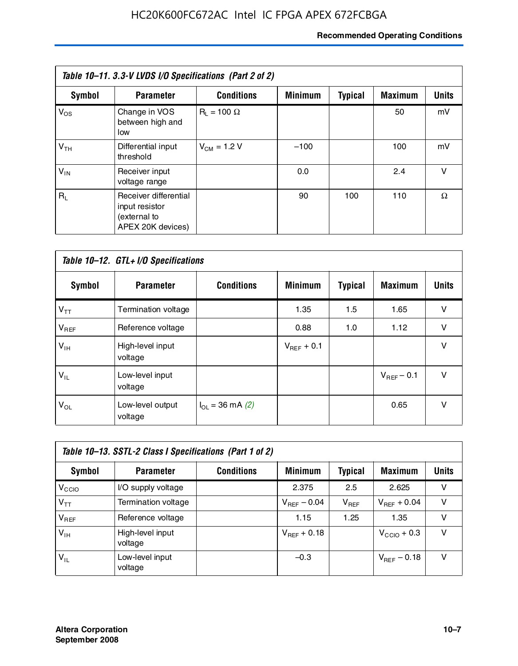# **Recommended Operating Conditions**

| Table 10-11. 3.3-V LVDS I/O Specifications (Part 2 of 2) |                                                                              |                    |                |                |                |              |  |
|----------------------------------------------------------|------------------------------------------------------------------------------|--------------------|----------------|----------------|----------------|--------------|--|
| Symbol                                                   | <b>Parameter</b>                                                             | <b>Conditions</b>  | <b>Minimum</b> | <b>Typical</b> | <b>Maximum</b> | <b>Units</b> |  |
| $V_{OS}$                                                 | Change in VOS<br>between high and<br>low                                     | $R_1 = 100 \Omega$ |                |                | 50             | mV           |  |
| V <sub>TH</sub>                                          | Differential input<br>threshold                                              | $V_{CM} = 1.2 V$   | $-100$         |                | 100            | mV           |  |
| $V_{IN}$                                                 | Receiver input<br>voltage range                                              |                    | 0.0            |                | 2.4            | v            |  |
| $R_1$                                                    | Receiver differential<br>input resistor<br>(external to<br>APEX 20K devices) |                    | 90             | 100            | 110            | Ω            |  |

| Table 10-12. GTL+ I/O Specifications |                             |                          |                 |                |                 |              |  |
|--------------------------------------|-----------------------------|--------------------------|-----------------|----------------|-----------------|--------------|--|
| <b>Symbol</b>                        | <b>Parameter</b>            | <b>Conditions</b>        | <b>Minimum</b>  | <b>Typical</b> | <b>Maximum</b>  | <b>Units</b> |  |
| $V_{TT}$                             | Termination voltage         |                          | 1.35            | 1.5            | 1.65            | v            |  |
| $V_{REF}$                            | Reference voltage           |                          | 0.88            | 1.0            | 1.12            | $\vee$       |  |
| $V_{IH}$                             | High-level input<br>voltage |                          | $V_{REF}$ + 0.1 |                |                 | $\vee$       |  |
| $V_{IL}$                             | Low-level input<br>voltage  |                          |                 |                | $V_{BFF}$ – 0.1 | $\vee$       |  |
| $V_{OL}$                             | Low-level output<br>voltage | $I_{\Omega}$ = 36 mA (2) |                 |                | 0.65            | $\vee$       |  |

| Table 10–13. SSTL-2 Class I Specifications (Part 1 of 2) |                             |                   |                         |           |                         |              |  |
|----------------------------------------------------------|-----------------------------|-------------------|-------------------------|-----------|-------------------------|--------------|--|
| Symbol                                                   | <b>Parameter</b>            | <b>Conditions</b> | <b>Minimum</b>          | Typical   | <b>Maximum</b>          | <b>Units</b> |  |
| V <sub>CIO</sub>                                         | I/O supply voltage          |                   | 2.375                   | 2.5       | 2.625                   | v            |  |
| $V_{TT}$                                                 | Termination voltage         |                   | $V_{\text{REF}}$ – 0.04 | $V_{REF}$ | $V_{REF}$ + 0.04        | v            |  |
| $V_{BEF}$                                                | Reference voltage           |                   | 1.15                    | 1.25      | 1.35                    | v            |  |
| $V_{\text{H}}$                                           | High-level input<br>voltage |                   | $V_{REF}$ + 0.18        |           | $V_{\text{CCIO}} + 0.3$ | v            |  |
| $V_{IL}$                                                 | Low-level input<br>voltage  |                   | $-0.3$                  |           | $V_{\text{BFE}} - 0.18$ | v            |  |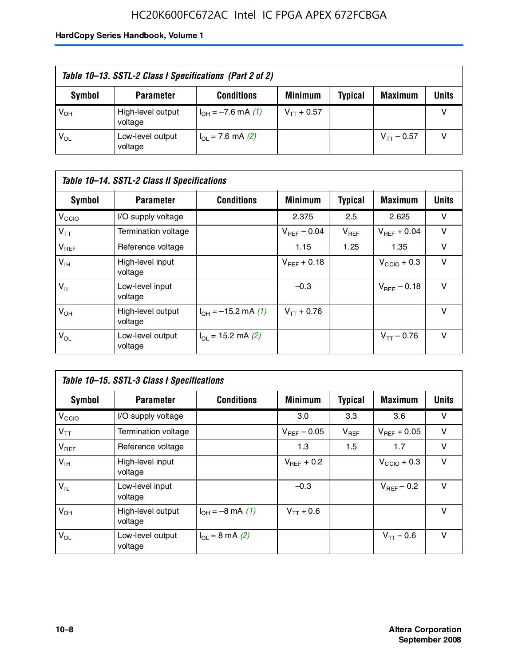# HC20K600FC672AC Intel IC FPGA APEX 672FCBGA

| Table 10–13. SSTL-2 Class I Specifications (Part 2 of 2) |                              |                           |                 |                |                 |              |  |
|----------------------------------------------------------|------------------------------|---------------------------|-----------------|----------------|-----------------|--------------|--|
| Symbol                                                   | <b>Parameter</b>             | <b>Conditions</b>         | <b>Minimum</b>  | <b>Typical</b> | <b>Maximum</b>  | <b>Units</b> |  |
| $V_{OH}$                                                 | High-level output<br>voltage | $I_{OH} = -7.6$ mA (1)    | $V_{TT}$ + 0.57 |                |                 |              |  |
| $V_{OL}$                                                 | Low-level output<br>voltage  | $I_{\Omega}$ = 7.6 mA (2) |                 |                | $V_{TT}$ – 0.57 |              |  |

| Table 10–14. SSTL-2 Class II Specifications |                              |                                       |                         |                |                  |              |  |
|---------------------------------------------|------------------------------|---------------------------------------|-------------------------|----------------|------------------|--------------|--|
| <b>Symbol</b>                               | <b>Parameter</b>             | <b>Conditions</b>                     | <b>Minimum</b>          | <b>Typical</b> | <b>Maximum</b>   | <b>Units</b> |  |
| V <sub>CCIO</sub>                           | I/O supply voltage           |                                       | 2.375                   | 2.5            | 2.625            | v            |  |
| $V_{TT}$                                    | <b>Termination voltage</b>   |                                       | $V_{\text{BFE}} - 0.04$ | $V_{REF}$      | $V_{BFF}$ + 0.04 | v            |  |
| $V_{REF}$                                   | Reference voltage            |                                       | 1.15                    | 1.25           | 1.35             | v            |  |
| $V_{IH}$                                    | High-level input<br>voltage  |                                       | $V_{BFF}$ + 0.18        |                | $V_{CCD}$ + 0.3  | v            |  |
| $V_{IL}$                                    | Low-level input<br>voltage   |                                       | $-0.3$                  |                | $V_{BFE} = 0.18$ | v            |  |
| $V_{OH}$                                    | High-level output<br>voltage | $I_{OH} = -15.2$ mA (1)               | $V_{TT}$ + 0.76         |                |                  | v            |  |
| $V_{OL}$                                    | Low-level output<br>voltage  | $I_{\text{O1}} = 15.2 \text{ mA} (2)$ |                         |                | $V_{TT} - 0.76$  | $\vee$       |  |

| Table 10–15. SSTL-3 Class I Specifications |                              |                                 |                         |                |                         |              |  |
|--------------------------------------------|------------------------------|---------------------------------|-------------------------|----------------|-------------------------|--------------|--|
| <b>Symbol</b>                              | <b>Parameter</b>             | <b>Conditions</b>               | <b>Minimum</b>          | <b>Typical</b> | <b>Maximum</b>          | <b>Units</b> |  |
| $V_{\rm CCIO}$                             | I/O supply voltage           |                                 | 3.0                     | 3.3            | 3.6                     | v            |  |
| $V_{TT}$                                   | Termination voltage          |                                 | $V_{\text{BFE}} - 0.05$ | $V_{REF}$      | $V_{BFF}$ + 0.05        | v            |  |
| $V_{REF}$                                  | Reference voltage            |                                 | 1.3                     | 1.5            | 1.7                     | v            |  |
| $V_{\text{IH}}$                            | High-level input<br>voltage  |                                 | $V_{BFF}$ + 0.2         |                | $V_{\text{CCIO}} + 0.3$ | v            |  |
| $V_{IL}$                                   | Low-level input<br>voltage   |                                 | $-0.3$                  |                | $V_{\text{BFF}}$ – 0.2  | v            |  |
| $V_{OH}$                                   | High-level output<br>voltage | $I_{OH} = -8 \text{ mA}$ (1)    | $V_{TT} + 0.6$          |                |                         | v            |  |
| $V_{OL}$                                   | Low-level output<br>voltage  | $I_{\Omega} = 8 \text{ mA} (2)$ |                         |                | $V_{TT} - 0.6$          | v            |  |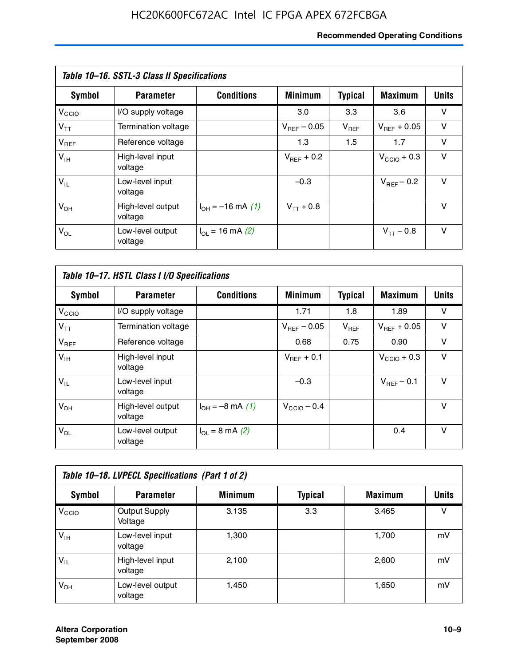# **Recommended Operating Conditions**

| Table 10–16. SSTL-3 Class II Specifications |                              |                          |                         |                |                  |              |  |
|---------------------------------------------|------------------------------|--------------------------|-------------------------|----------------|------------------|--------------|--|
| Symbol                                      | <b>Parameter</b>             | <b>Conditions</b>        | <b>Minimum</b>          | <b>Typical</b> | <b>Maximum</b>   | <b>Units</b> |  |
| V <sub>CCIO</sub>                           | I/O supply voltage           |                          | 3.0                     | 3.3            | 3.6              | v            |  |
| $V_{TT}$                                    | Termination voltage          |                          | $V_{\text{BFE}} - 0.05$ | $V_{REF}$      | $V_{BFF}$ + 0.05 | v            |  |
| $V_{REF}$                                   | Reference voltage            |                          | 1.3                     | 1.5            | 1.7              | v            |  |
| $V_{IH}$                                    | High-level input<br>voltage  |                          | $V_{BFF}$ + 0.2         |                | $V_{CCD}$ + 0.3  | v            |  |
| $V_{IL}$                                    | Low-level input<br>voltage   |                          | $-0.3$                  |                | $V_{BFF}$ – 0.2  | $\vee$       |  |
| $V_{OH}$                                    | High-level output<br>voltage | $I_{OH} = -16$ mA (1)    | $V_{TT}$ + 0.8          |                |                  | v            |  |
| $V_{OL}$                                    | Low-level output<br>voltage  | $I_{\Omega}$ = 16 mA (2) |                         |                | $V_{TT} - 0.8$   | v            |  |

| Table 10-17. HSTL Class I I/O Specifications |                              |                             |                         |                |                  |              |  |
|----------------------------------------------|------------------------------|-----------------------------|-------------------------|----------------|------------------|--------------|--|
| Symbol                                       | <b>Parameter</b>             | <b>Conditions</b>           | <b>Minimum</b>          | <b>Typical</b> | <b>Maximum</b>   | <b>Units</b> |  |
| $V_{\rm CCIO}$                               | I/O supply voltage           |                             | 1.71                    | 1.8            | 1.89             | v            |  |
| $V_{TT}$                                     | Termination voltage          |                             | $V_{\text{BFF}}$ – 0.05 | $V_{REF}$      | $V_{BFF}$ + 0.05 | v            |  |
| $V_{REF}$                                    | Reference voltage            |                             | 0.68                    | 0.75           | 0.90             | $\vee$       |  |
| $V_{\text{IH}}$                              | High-level input<br>voltage  |                             | $V_{BFF}$ + 0.1         |                | $V_{CClO}$ + 0.3 | v            |  |
| $V_{IL}$                                     | Low-level input<br>voltage   |                             | $-0.3$                  |                | $V_{BFF}$ – 0.1  | $\vee$       |  |
| $V_{OH}$                                     | High-level output<br>voltage | $I_{OH} = -8$ mA (1)        | $V_{\text{CCIO}} - 0.4$ |                |                  | $\vee$       |  |
| $V_{OL}$                                     | Low-level output<br>voltage  | $I_{OL} = 8 \text{ mA} (2)$ |                         |                | 0.4              | $\vee$       |  |

| Table 10-18. LVPECL Specifications (Part 1 of 2) |                                 |                |                |                |              |  |  |
|--------------------------------------------------|---------------------------------|----------------|----------------|----------------|--------------|--|--|
| Symbol                                           | <b>Parameter</b>                | <b>Minimum</b> | <b>Typical</b> | <b>Maximum</b> | <b>Units</b> |  |  |
| V <sub>CIO</sub>                                 | <b>Output Supply</b><br>Voltage | 3.135          | 3.3            | 3.465          | v            |  |  |
| $V_{IH}$                                         | Low-level input<br>voltage      | 1,300          |                | 1,700          | mV           |  |  |
| $V_{IL}$                                         | High-level input<br>voltage     | 2.100          |                | 2,600          | mV           |  |  |
| $V_{OH}$                                         | Low-level output<br>voltage     | 1,450          |                | 1,650          | mV           |  |  |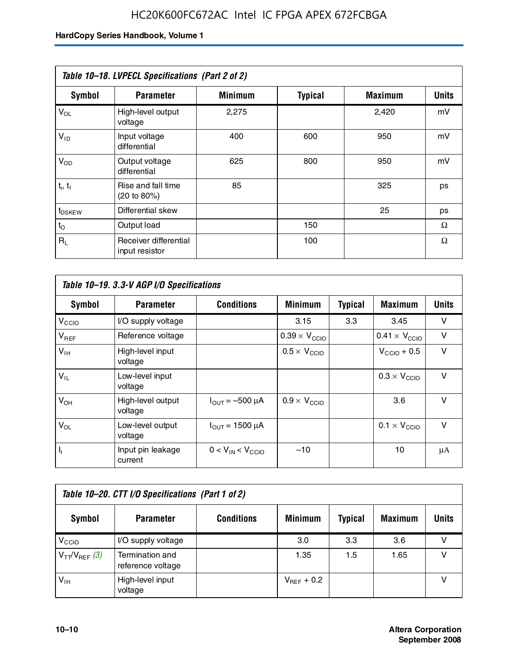| Table 10-18. LVPECL Specifications (Part 2 of 2) |                                         |                |                |                |              |  |  |
|--------------------------------------------------|-----------------------------------------|----------------|----------------|----------------|--------------|--|--|
| <b>Symbol</b>                                    | <b>Parameter</b>                        | <b>Minimum</b> | <b>Typical</b> | <b>Maximum</b> | <b>Units</b> |  |  |
| $V_{OL}$                                         | High-level output<br>voltage            | 2,275          |                | 2,420          | mV           |  |  |
| $V_{ID}$                                         | Input voltage<br>differential           | 400            | 600            | 950            | mV           |  |  |
| $V_{OD}$                                         | Output voltage<br>differential          | 625            | 800            | 950            | mV           |  |  |
| $t_r$ , $t_f$                                    | Rise and fall time<br>(20 to 80%)       | 85             |                | 325            | ps           |  |  |
| $t_{DSKEY}$                                      | Differential skew                       |                |                | 25             | ps           |  |  |
| $t_{\rm O}$                                      | Output load                             |                | 150            |                | Ω            |  |  |
| $R_1$                                            | Receiver differential<br>input resistor |                | 100            |                | Ω            |  |  |

| Table 10-19. 3.3-V AGP I/O Specifications |                              |                               |                               |                |                               |              |  |
|-------------------------------------------|------------------------------|-------------------------------|-------------------------------|----------------|-------------------------------|--------------|--|
| Symbol                                    | <b>Parameter</b>             | <b>Conditions</b>             | <b>Minimum</b>                | <b>Typical</b> | Maximum                       | <b>Units</b> |  |
| V <sub>CCIO</sub>                         | I/O supply voltage           |                               | 3.15                          | 3.3            | 3.45                          | v            |  |
| $V_{REF}$                                 | Reference voltage            |                               | $0.39 \times V_{\text{CCIO}}$ |                | $0.41 \times V_{\text{CCIO}}$ | v            |  |
| $V_{\text{IH}}$                           | High-level input<br>voltage  |                               | $0.5 \times V_{\text{CCIO}}$  |                | $V_{CClO}$ + 0.5              | v            |  |
| $V_{IL}$                                  | Low-level input<br>voltage   |                               |                               |                | $0.3 \times V_{\text{CCIO}}$  | $\vee$       |  |
| $V_{OH}$                                  | High-level output<br>voltage | $I_{\text{OUT}} = -500 \mu A$ | $0.9 \times V_{\text{CCIO}}$  |                | 3.6                           | $\vee$       |  |
| $V_{OL}$                                  | Low-level output<br>voltage  | $I_{\text{OUT}} = 1500 \mu A$ |                               |                | $0.1 \times V_{\text{CCIO}}$  | $\vee$       |  |
| $I_1$                                     | Input pin leakage<br>current | $0 < V_{IN} < V_{CCIO}$       | $-10$                         |                | 10                            | μA           |  |

| Table 10–20. CTT I/O Specifications (Part 1 of 2) |                                      |                   |                 |                |                |       |  |
|---------------------------------------------------|--------------------------------------|-------------------|-----------------|----------------|----------------|-------|--|
| <b>Symbol</b>                                     | <b>Parameter</b>                     | <b>Conditions</b> | <b>Minimum</b>  | <b>Typical</b> | <b>Maximum</b> | Units |  |
| V <sub>CIO</sub>                                  | I/O supply voltage                   |                   | 3.0             | 3.3            | 3.6            |       |  |
| $V_{TT}/V_{REF}$ (3)                              | Termination and<br>reference voltage |                   | 1.35            | 1.5            | 1.65           |       |  |
| $V_{IH}$                                          | High-level input<br>voltage          |                   | $V_{BFF}$ + 0.2 |                |                |       |  |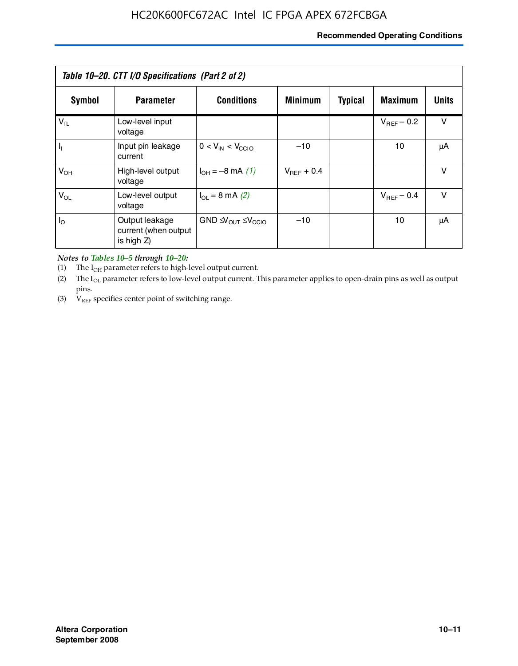### **Recommended Operating Conditions**

| Table 10–20. CTT I/O Specifications (Part 2 of 2) |                                                      |                                             |                 |                |                 |              |  |
|---------------------------------------------------|------------------------------------------------------|---------------------------------------------|-----------------|----------------|-----------------|--------------|--|
| Symbol                                            | <b>Parameter</b>                                     | <b>Conditions</b>                           | <b>Minimum</b>  | <b>Typical</b> | <b>Maximum</b>  | <b>Units</b> |  |
| $V_{IL}$                                          | Low-level input<br>voltage                           |                                             |                 |                | $V_{BFF}$ – 0.2 | v            |  |
| H,                                                | Input pin leakage<br>current                         | $0 < V_{IN} < V_{CCIO}$                     | $-10$           |                | 10              | μA           |  |
| $V_{OH}$                                          | High-level output<br>voltage                         | $I_{OH} = -8$ mA (1)                        | $V_{BFF}$ + 0.4 |                |                 | $\vee$       |  |
| $V_{OL}$                                          | Low-level output<br>voltage                          | $I_{\Omega}$ = 8 mA (2)                     |                 |                | $V_{BFF}$ – 0.4 | $\vee$       |  |
| $I_{\odot}$                                       | Output leakage<br>current (when output<br>is high Z) | $GND \trianglelefteq V_{OUT} \leq V_{CCIO}$ | $-10$           |                | 10              | μA           |  |

*Notes to Tables 10–5 through 10–20:*

(1) The  $I_{OH}$  parameter refers to high-level output current.

(2) The  $I_{OL}$  parameter refers to low-level output current. This parameter applies to open-drain pins as well as output pins.

(3)  $V_{REF}$  specifies center point of switching range.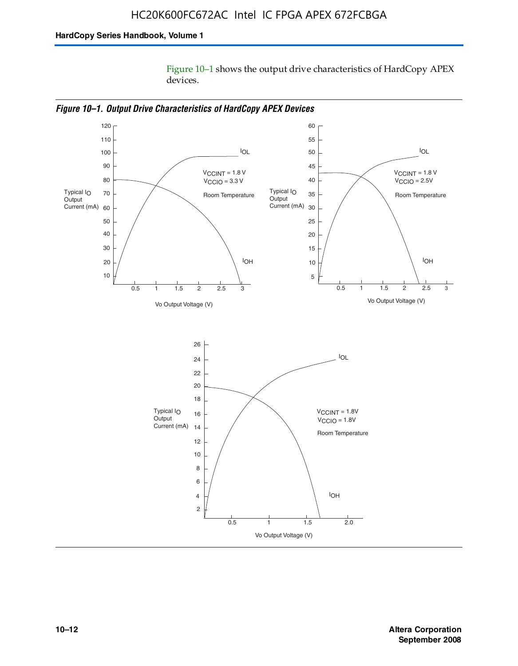Figure 10–1 shows the output drive characteristics of HardCopy APEX devices.



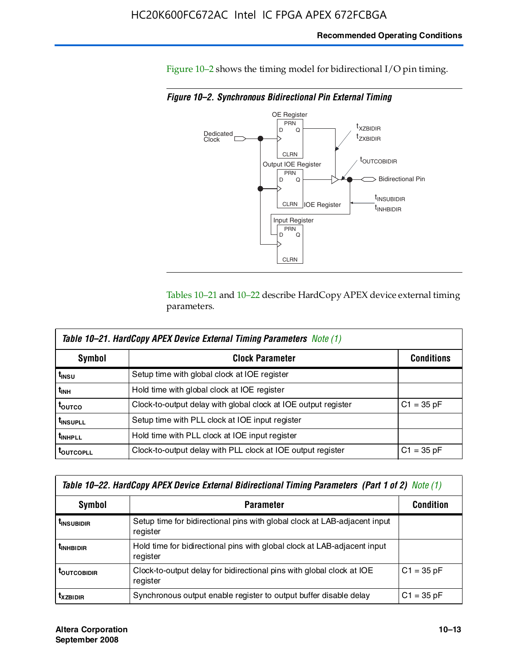### **Recommended Operating Conditions**

Figure 10–2 shows the timing model for bidirectional I/O pin timing.

*Figure 10–2. Synchronous Bidirectional Pin External Timing*



Tables 10–21 and 10–22 describe HardCopy APEX device external timing parameters.

| <b>Table 10–21. HardCopy APEX Device External Timing Parameters Note (1)</b> |                                                                |                   |  |  |  |  |
|------------------------------------------------------------------------------|----------------------------------------------------------------|-------------------|--|--|--|--|
| Symbol                                                                       | <b>Clock Parameter</b>                                         | <b>Conditions</b> |  |  |  |  |
| t <sub>insu</sub>                                                            | Setup time with global clock at IOE register                   |                   |  |  |  |  |
| t <sub>інн</sub>                                                             | Hold time with global clock at IOE register                    |                   |  |  |  |  |
| ι <sub>ουτςο</sub>                                                           | Clock-to-output delay with global clock at IOE output register | $C1 = 35 pF$      |  |  |  |  |
| <b>t</b> INSUPLL                                                             | Setup time with PLL clock at IOE input register                |                   |  |  |  |  |
| <b>t</b> INHPLL                                                              | Hold time with PLL clock at IOE input register                 |                   |  |  |  |  |
| <b>TOUTCOPLL</b>                                                             | Clock-to-output delay with PLL clock at IOE output register    | $C1 = 35 pF$      |  |  |  |  |

| Table 10–22. HardCopy APEX Device External Bidirectional Timing Parameters (Part 1 of 2) Note (1) |                                                                                       |              |  |  |  |  |
|---------------------------------------------------------------------------------------------------|---------------------------------------------------------------------------------------|--------------|--|--|--|--|
| Symbol                                                                                            | <b>Condition</b>                                                                      |              |  |  |  |  |
| <b><i>L</i>INSUBIDIR</b>                                                                          | Setup time for bidirectional pins with global clock at LAB-adjacent input<br>register |              |  |  |  |  |
| <b><i>L</i>INHBIDIR</b>                                                                           | Hold time for bidirectional pins with global clock at LAB-adjacent input<br>register  |              |  |  |  |  |
| <b>LOUTCOBIDIR</b>                                                                                | Clock-to-output delay for bidirectional pins with global clock at IOE<br>register     | $C1 = 35 pF$ |  |  |  |  |
| <b>T</b> x <sub>7BIDIR</sub>                                                                      | Synchronous output enable register to output buffer disable delay                     | $C1 = 35 pF$ |  |  |  |  |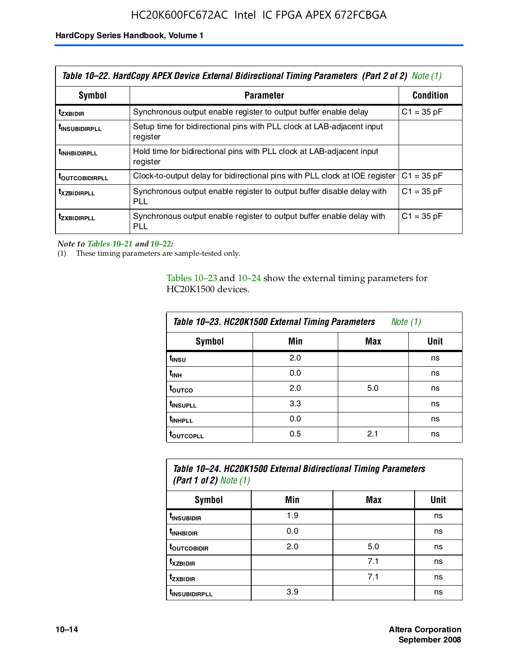| Table 10–22. HardCopy APEX Device External Bidirectional Timing Parameters (Part 2 of 2) Note (1) |                                                                                    |                  |  |  |  |
|---------------------------------------------------------------------------------------------------|------------------------------------------------------------------------------------|------------------|--|--|--|
| Symbol                                                                                            | <b>Parameter</b>                                                                   | <b>Condition</b> |  |  |  |
| t <sub>zxbidir</sub>                                                                              | Synchronous output enable register to output buffer enable delay                   | $C1 = 35 pF$     |  |  |  |
| <b>t</b> insubidirpll                                                                             | Setup time for bidirectional pins with PLL clock at LAB-adiacent input<br>register |                  |  |  |  |
| <b><i>LINHBIDIRPLL</i></b>                                                                        | Hold time for bidirectional pins with PLL clock at LAB-adjacent input<br>register  |                  |  |  |  |
| <b>TOUTCOBIDIRPLL</b>                                                                             | Clock-to-output delay for bidirectional pins with PLL clock at IOE register        | $C1 = 35 pF$     |  |  |  |
| <b>TXZBIDIRPLL</b>                                                                                | Synchronous output enable register to output buffer disable delay with<br>PLL      | $C1 = 35 pF$     |  |  |  |
| <i>t</i> zxbidirpll                                                                               | Synchronous output enable register to output buffer enable delay with<br>PLI.      | $C1 = 35 pF$     |  |  |  |

*Note to Tables 10–21 and 10–22:*

(1) These timing parameters are sample-tested only.

Tables 10–23 and 10–24 show the external timing parameters for HC20K1500 devices.

| Table 10-23. HC20K1500 External Timing Parameters<br>Note (1) |     |     |      |
|---------------------------------------------------------------|-----|-----|------|
| <b>Symbol</b>                                                 | Min | Max | Unit |
| t <sub>INSU</sub>                                             | 2.0 |     | ns   |
| $t_{\sf INH}$                                                 | 0.0 |     | ns   |
| t <sub>outco</sub>                                            | 2.0 | 5.0 | ns   |
| t <sub>INSUPLL</sub>                                          | 3.3 |     | ns   |
| t <sub>INHPLL</sub>                                           | 0.0 |     | ns   |
| <b>toutcopll</b>                                              | 0.5 | 2.1 | ns   |

| Table 10-24. HC20K1500 External Bidirectional Timing Parameters<br>(Part 1 of 2) Note $(1)$ |     |     |      |
|---------------------------------------------------------------------------------------------|-----|-----|------|
| Symbol                                                                                      | Min | Max | Unit |
| t <sub>insubidir</sub>                                                                      | 1.9 |     | ns   |

| t <sub>insubidir</sub>    | 1.9 |     | ns |
|---------------------------|-----|-----|----|
| t <sub>inhbidir</sub>     | 0.0 |     | ns |
| t <sub>outcobidir</sub>   | 2.0 | 5.0 | ns |
| t <sub>xzbidir</sub>      |     | 7.1 | ns |
| t <sub>zxbidir</sub>      |     | 7.1 | ns |
| t <sub>insubidirpll</sub> | 3.9 |     | ns |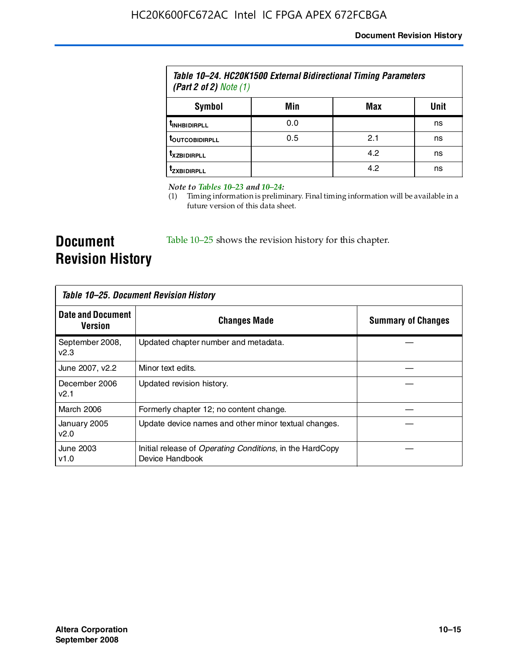| Table 10–24. HC20K1500 External Bidirectional Timing Parameters<br>(Part 2 of 2) Note $(1)$ |     |     |      |
|---------------------------------------------------------------------------------------------|-----|-----|------|
| Symbol                                                                                      | Min | Max | Unit |
| <b><i>UNHBIDIRPLL</i></b>                                                                   | 0.0 |     | ns   |
| <b><i>LOUTCOBIDIRPLL</i></b>                                                                | 0.5 | 2.1 | ns   |
| <b>T</b> XZBIDIRPLL                                                                         |     | 4.2 | ns   |
| <sup>T</sup> ZXBIDIRPLL                                                                     |     | 4.2 | ns   |

*Note to Tables 10–23 and 10–24:*

(1) Timing information is preliminary. Final timing information will be available in a future version of this data sheet.

**Document Revision History**

Table 10–25 shows the revision history for this chapter.

| Table 10–25. Document Revision History |                                                                             |                           |
|----------------------------------------|-----------------------------------------------------------------------------|---------------------------|
| <b>Date and Document</b><br>Version    | <b>Changes Made</b>                                                         | <b>Summary of Changes</b> |
| September 2008,<br>V <sub>2.3</sub>    | Updated chapter number and metadata.                                        |                           |
| June 2007, v2.2                        | Minor text edits.                                                           |                           |
| December 2006<br>v2.1                  | Updated revision history.                                                   |                           |
| March 2006                             | Formerly chapter 12; no content change.                                     |                           |
| January 2005<br>v2.0                   | Update device names and other minor textual changes.                        |                           |
| June 2003<br>v1.0                      | Initial release of Operating Conditions, in the HardCopy<br>Device Handbook |                           |